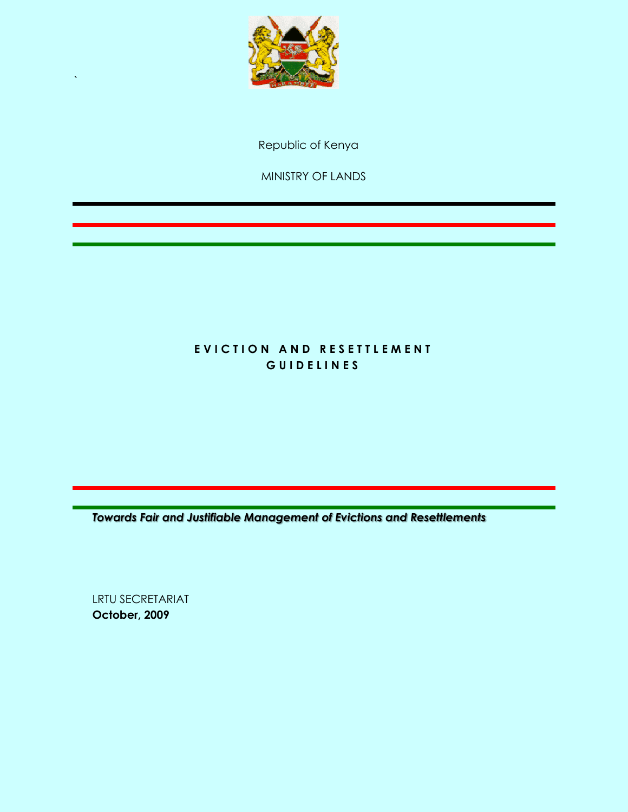

Republic of Kenya

MINISTRY OF LANDS

## EVICTION AND RESETTLEMENT **G U I D E L I N E S**

*Towards Fair and Justifiable Management of Evictions and Resettlements*

LRTU SECRETARIAT **October, 2009**

`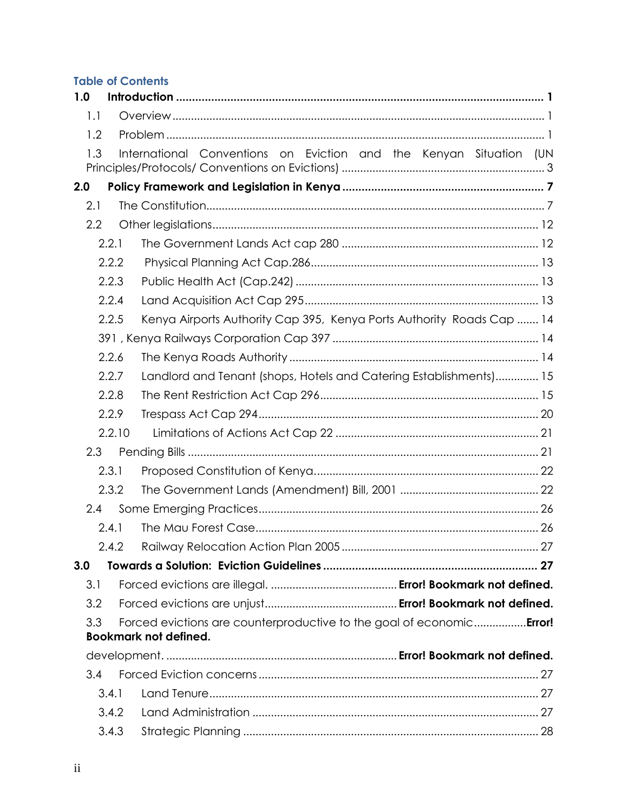## **Table of Contents**

| 1.0 |        |                                                                              |  |
|-----|--------|------------------------------------------------------------------------------|--|
| 1.1 |        |                                                                              |  |
| 1.2 |        |                                                                              |  |
| 1.3 |        | International Conventions on Eviction and the Kenyan Situation (UN           |  |
| 2.0 |        |                                                                              |  |
| 2.1 |        |                                                                              |  |
| 2.2 |        |                                                                              |  |
|     | 2.2.1  |                                                                              |  |
|     | 2.2.2  |                                                                              |  |
|     | 2.2.3  |                                                                              |  |
|     | 2.2.4  |                                                                              |  |
|     | 2.2.5  | Kenya Airports Authority Cap 395, Kenya Ports Authority Roads Cap  14        |  |
|     |        |                                                                              |  |
|     | 2.2.6  |                                                                              |  |
|     | 2.2.7  | Landlord and Tenant (shops, Hotels and Catering Establishments) 15           |  |
|     | 2.2.8  |                                                                              |  |
|     | 2.2.9  |                                                                              |  |
|     | 2.2.10 |                                                                              |  |
| 2.3 |        |                                                                              |  |
|     | 2.3.1  |                                                                              |  |
|     | 2.3.2  |                                                                              |  |
| 2.4 |        |                                                                              |  |
|     | 2.4.1  |                                                                              |  |
|     | 2.4.2  |                                                                              |  |
| 3.0 |        |                                                                              |  |
| 3.1 |        |                                                                              |  |
| 3.2 |        |                                                                              |  |
| 3.3 |        | Forced evictions are counterproductive to the goal of economic <b>Error!</b> |  |
|     |        | <b>Bookmark not defined.</b>                                                 |  |
|     |        |                                                                              |  |
| 3.4 |        |                                                                              |  |
|     | 3.4.1  |                                                                              |  |
|     | 3.4.2  |                                                                              |  |
|     | 3.4.3  |                                                                              |  |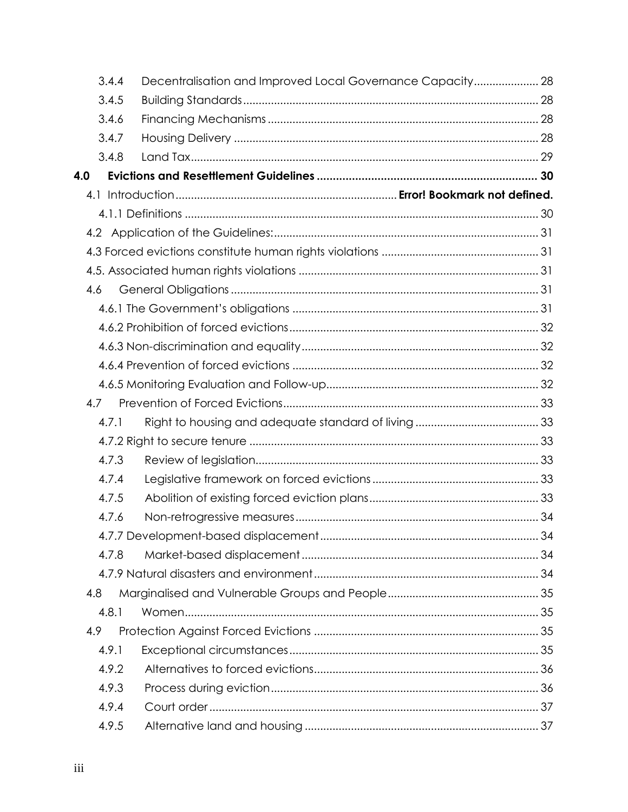| 3.4.4 | Decentralisation and Improved Local Governance Capacity 28 |  |
|-------|------------------------------------------------------------|--|
| 3.4.5 |                                                            |  |
| 3.4.6 |                                                            |  |
| 3.4.7 |                                                            |  |
| 3.4.8 |                                                            |  |
| 4.0   |                                                            |  |
|       |                                                            |  |
|       |                                                            |  |
|       |                                                            |  |
|       |                                                            |  |
|       |                                                            |  |
| 4.6   |                                                            |  |
|       |                                                            |  |
|       |                                                            |  |
|       |                                                            |  |
|       |                                                            |  |
|       |                                                            |  |
| 4.7   |                                                            |  |
| 4.7.1 |                                                            |  |
|       |                                                            |  |
| 4.7.3 |                                                            |  |
| 4.7.4 |                                                            |  |
| 4.7.5 |                                                            |  |
| 4.7.6 |                                                            |  |
|       |                                                            |  |
| 4.7.8 |                                                            |  |
|       |                                                            |  |
| 4.8   |                                                            |  |
| 4.8.1 |                                                            |  |
| 4.9   |                                                            |  |
| 4.9.1 |                                                            |  |
| 4.9.2 |                                                            |  |
| 4.9.3 |                                                            |  |
| 4.9.4 |                                                            |  |
| 4.9.5 |                                                            |  |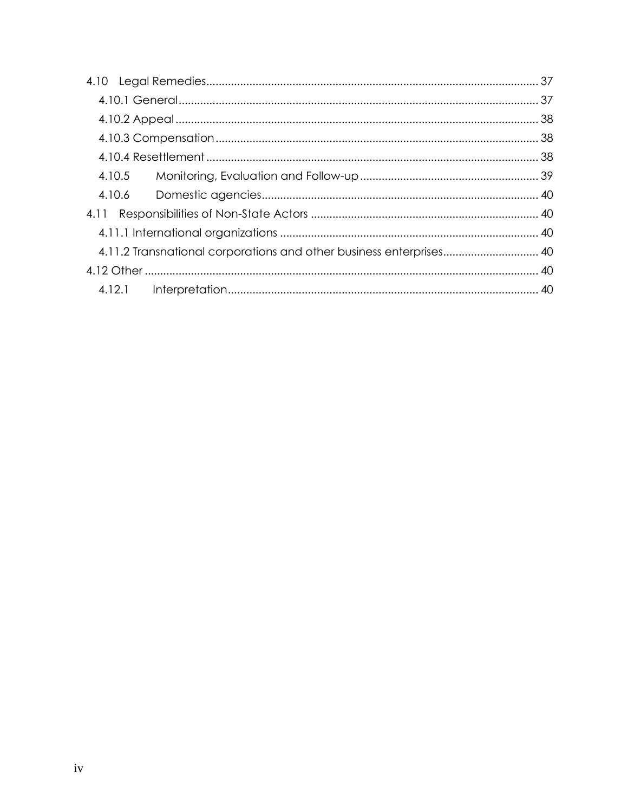|  | 4.11.2 Transnational corporations and other business enterprises 40 |  |
|--|---------------------------------------------------------------------|--|
|  |                                                                     |  |
|  |                                                                     |  |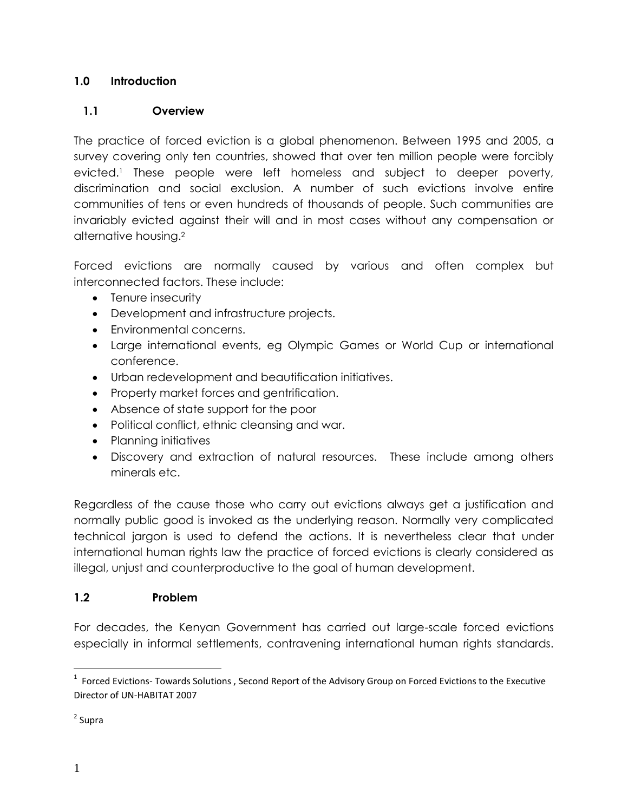### <span id="page-4-0"></span>**1.0 Introduction**

## <span id="page-4-1"></span>**1.1 Overview**

The practice of forced eviction is a global phenomenon. Between 1995 and 2005, a survey covering only ten countries, showed that over ten million people were forcibly evicted.<sup>1</sup> These people were left homeless and subject to deeper poverty, discrimination and social exclusion. A number of such evictions involve entire communities of tens or even hundreds of thousands of people. Such communities are invariably evicted against their will and in most cases without any compensation or alternative housing.<sup>2</sup>

Forced evictions are normally caused by various and often complex but interconnected factors. These include:

- Tenure insecurity
- Development and infrastructure projects.
- Environmental concerns.
- Large international events, eg Olympic Games or World Cup or international conference.
- Urban redevelopment and beautification initiatives.
- Property market forces and gentrification.
- Absence of state support for the poor
- Political conflict, ethnic cleansing and war.
- Planning initiatives
- Discovery and extraction of natural resources. These include among others minerals etc.

Regardless of the cause those who carry out evictions always get a justification and normally public good is invoked as the underlying reason. Normally very complicated technical jargon is used to defend the actions. It is nevertheless clear that under international human rights law the practice of forced evictions is clearly considered as illegal, unjust and counterproductive to the goal of human development.

### <span id="page-4-2"></span>**1.2 Problem**

For decades, the Kenyan Government has carried out large-scale forced evictions especially in informal settlements, contravening international human rights standards.

 $\overline{a}$ 

 $1$  Forced Evictions- Towards Solutions , Second Report of the Advisory Group on Forced Evictions to the Executive Director of UN-HABITAT 2007

<sup>&</sup>lt;sup>2</sup> Supra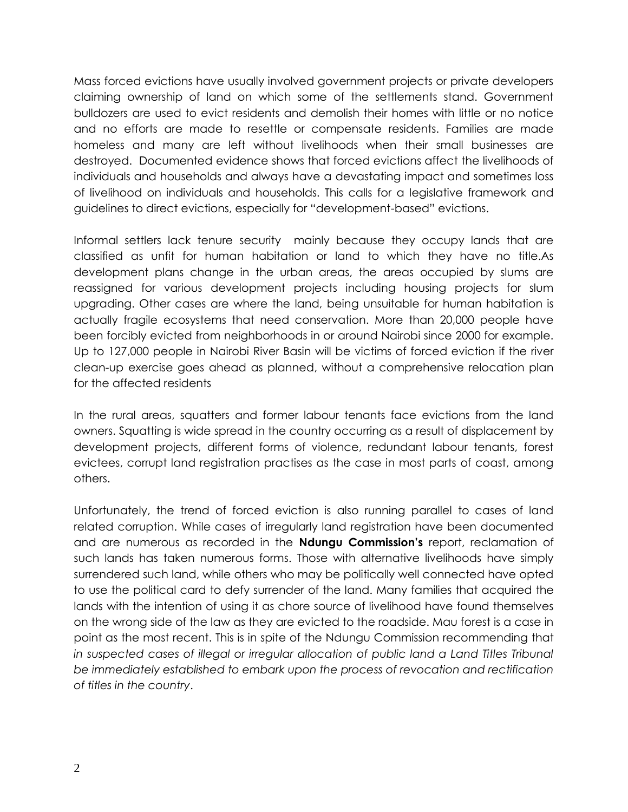Mass forced evictions have usually involved government projects or private developers claiming ownership of land on which some of the settlements stand. Government bulldozers are used to evict residents and demolish their homes with little or no notice and no efforts are made to resettle or compensate residents. Families are made homeless and many are left without livelihoods when their small businesses are destroyed. Documented evidence shows that forced evictions affect the livelihoods of individuals and households and always have a devastating impact and sometimes loss of livelihood on individuals and households. This calls for a legislative framework and guidelines to direct evictions, especially for "development-based" evictions.

Informal settlers lack tenure security mainly because they occupy lands that are classified as unfit for human habitation or land to which they have no title.As development plans change in the urban areas, the areas occupied by slums are reassigned for various development projects including housing projects for slum upgrading. Other cases are where the land, being unsuitable for human habitation is actually fragile ecosystems that need conservation. More than 20,000 people have been forcibly evicted from neighborhoods in or around Nairobi since 2000 for example. Up to 127,000 people in Nairobi River Basin will be victims of forced eviction if the river clean-up exercise goes ahead as planned, without a comprehensive relocation plan for the affected residents

In the rural areas, squatters and former labour tenants face evictions from the land owners. Squatting is wide spread in the country occurring as a result of displacement by development projects, different forms of violence, redundant labour tenants, forest evictees, corrupt land registration practises as the case in most parts of coast, among others.

Unfortunately, the trend of forced eviction is also running parallel to cases of land related corruption. While cases of irregularly land registration have been documented and are numerous as recorded in the **Ndungu Commission's** report, reclamation of such lands has taken numerous forms. Those with alternative livelihoods have simply surrendered such land, while others who may be politically well connected have opted to use the political card to defy surrender of the land. Many families that acquired the lands with the intention of using it as chore source of livelihood have found themselves on the wrong side of the law as they are evicted to the roadside. Mau forest is a case in point as the most recent. This is in spite of the Ndungu Commission recommending that in suspected cases of illegal or irregular allocation of public land a Land Titles Tribunal *be immediately established to embark upon the process of revocation and rectification of titles in the country*.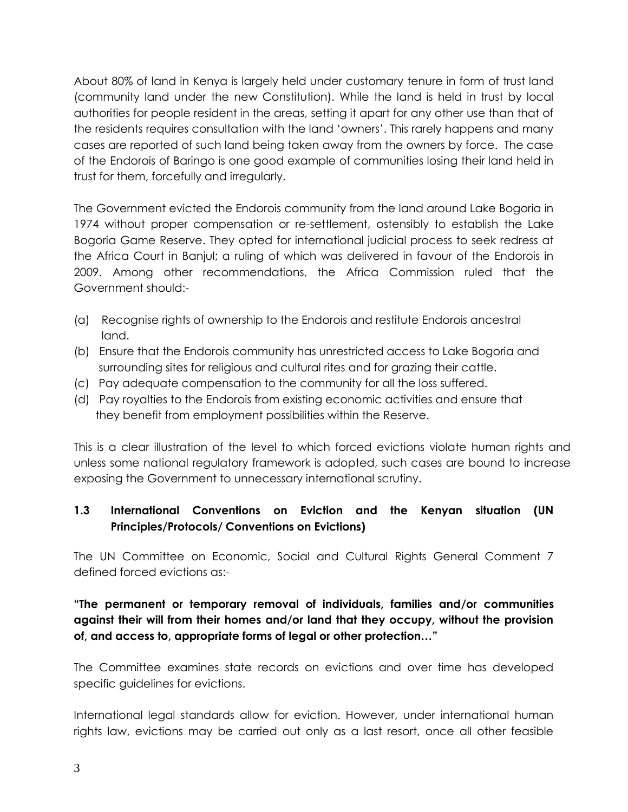About 80% of land in Kenya is largely held under customary tenure in form of trust land (community land under the new Constitution). While the land is held in trust by local authorities for people resident in the areas, setting it apart for any other use than that of the residents requires consultation with the land 'owners'. This rarely happens and many cases are reported of such land being taken away from the owners by force. The case of the Endorois of Baringo is one good example of communities losing their land held in trust for them, forcefully and irregularly.

The Government evicted the Endorois community from the land around Lake Bogoria in 1974 without proper compensation or re-settlement, ostensibly to establish the Lake Bogoria Game Reserve. They opted for international judicial process to seek redress at the Africa Court in Banjul; a ruling of which was delivered in favour of the Endorois in 2009. Among other recommendations, the Africa Commission ruled that the Government should:-

- (a) Recognise rights of ownership to the Endorois and restitute Endorois ancestral land.
- (b) Ensure that the Endorois community has unrestricted access to Lake Bogoria and surrounding sites for religious and cultural rites and for grazing their cattle.
- (c) Pay adequate compensation to the community for all the loss suffered.
- (d) Pay royalties to the Endorois from existing economic activities and ensure that they benefit from employment possibilities within the Reserve.

This is a clear illustration of the level to which forced evictions violate human rights and unless some national regulatory framework is adopted, such cases are bound to increase exposing the Government to unnecessary international scrutiny.

## <span id="page-6-0"></span>**1.3 International Conventions on Eviction and the Kenyan situation (UN Principles/Protocols/ Conventions on Evictions)**

The UN Committee on Economic, Social and Cultural Rights General Comment 7 defined forced evictions as:-

**"The permanent or temporary removal of individuals, families and/or communities against their will from their homes and/or land that they occupy, without the provision of, and access to, appropriate forms of legal or other protection…"**

The Committee examines state records on evictions and over time has developed specific guidelines for evictions.

International legal standards allow for eviction. However, under international human rights law, evictions may be carried out only as a last resort, once all other feasible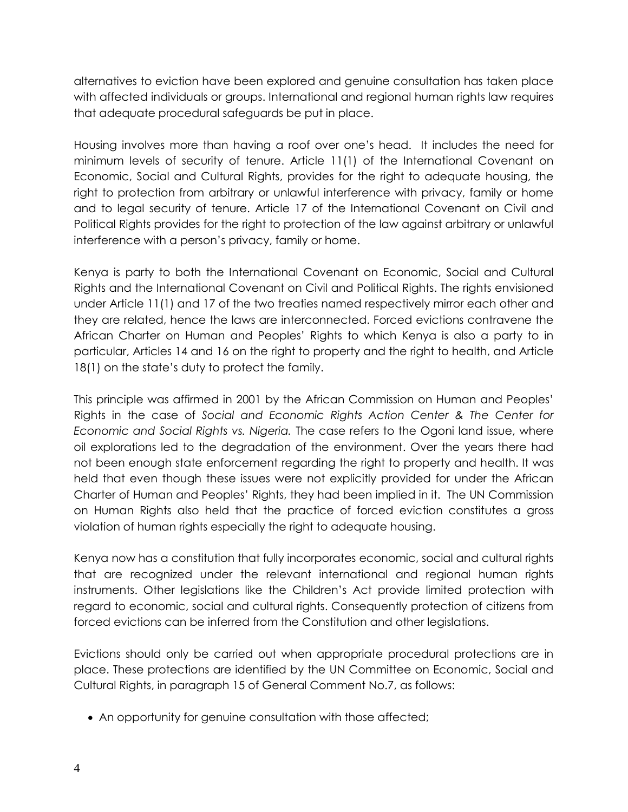alternatives to eviction have been explored and genuine consultation has taken place with affected individuals or groups. International and regional human rights law requires that adequate procedural safeguards be put in place.

Housing involves more than having a roof over one's head. It includes the need for minimum levels of security of tenure. Article 11(1) of the International Covenant on Economic, Social and Cultural Rights, provides for the right to adequate housing, the right to protection from arbitrary or unlawful interference with privacy, family or home and to legal security of tenure. Article 17 of the International Covenant on Civil and Political Rights provides for the right to protection of the law against arbitrary or unlawful interference with a person's privacy, family or home.

Kenya is party to both the International Covenant on Economic, Social and Cultural Rights and the International Covenant on Civil and Political Rights. The rights envisioned under Article 11(1) and 17 of the two treaties named respectively mirror each other and they are related, hence the laws are interconnected. Forced evictions contravene the African Charter on Human and Peoples' Rights to which Kenya is also a party to in particular, Articles 14 and 16 on the right to property and the right to health, and Article 18(1) on the state's duty to protect the family.

This principle was affirmed in 2001 by the African Commission on Human and Peoples' Rights in the case of *Social and Economic Rights Action Center & The Center for Economic and Social Rights vs. Nigeria.* The case refers to the Ogoni land issue, where oil explorations led to the degradation of the environment. Over the years there had not been enough state enforcement regarding the right to property and health. It was held that even though these issues were not explicitly provided for under the African Charter of Human and Peoples' Rights, they had been implied in it. The UN Commission on Human Rights also held that the practice of forced eviction constitutes a gross violation of human rights especially the right to adequate housing.

Kenya now has a constitution that fully incorporates economic, social and cultural rights that are recognized under the relevant international and regional human rights instruments. Other legislations like the Children's Act provide limited protection with regard to economic, social and cultural rights. Consequently protection of citizens from forced evictions can be inferred from the Constitution and other legislations.

Evictions should only be carried out when appropriate procedural protections are in place. These protections are identified by the UN Committee on Economic, Social and Cultural Rights, in paragraph 15 of General Comment No.7, as follows:

• An opportunity for genuine consultation with those affected;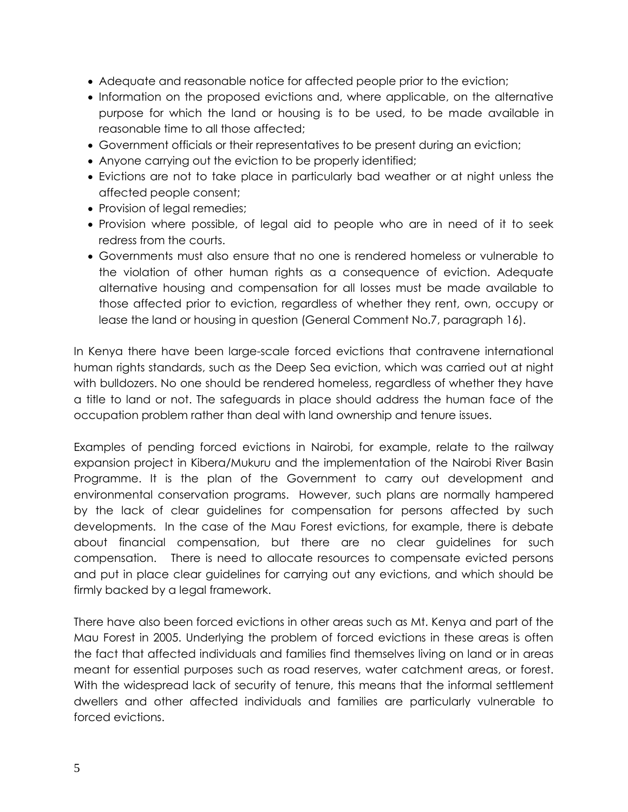- Adequate and reasonable notice for affected people prior to the eviction;
- Information on the proposed evictions and, where applicable, on the alternative purpose for which the land or housing is to be used, to be made available in reasonable time to all those affected;
- Government officials or their representatives to be present during an eviction;
- Anyone carrying out the eviction to be properly identified;
- Evictions are not to take place in particularly bad weather or at night unless the affected people consent;
- Provision of legal remedies;
- Provision where possible, of legal aid to people who are in need of it to seek redress from the courts.
- Governments must also ensure that no one is rendered homeless or vulnerable to the violation of other human rights as a consequence of eviction. Adequate alternative housing and compensation for all losses must be made available to those affected prior to eviction, regardless of whether they rent, own, occupy or lease the land or housing in question (General Comment No.7, paragraph 16).

In Kenya there have been large-scale forced evictions that contravene international human rights standards, such as the Deep Sea eviction, which was carried out at night with bulldozers. No one should be rendered homeless, regardless of whether they have a title to land or not. The safeguards in place should address the human face of the occupation problem rather than deal with land ownership and tenure issues.

Examples of pending forced evictions in Nairobi, for example, relate to the railway expansion project in Kibera/Mukuru and the implementation of the Nairobi River Basin Programme. It is the plan of the Government to carry out development and environmental conservation programs. However, such plans are normally hampered by the lack of clear guidelines for compensation for persons affected by such developments. In the case of the Mau Forest evictions, for example, there is debate about financial compensation, but there are no clear guidelines for such compensation. There is need to allocate resources to compensate evicted persons and put in place clear guidelines for carrying out any evictions, and which should be firmly backed by a legal framework.

There have also been forced evictions in other areas such as Mt. Kenya and part of the Mau Forest in 2005. Underlying the problem of forced evictions in these areas is often the fact that affected individuals and families find themselves living on land or in areas meant for essential purposes such as road reserves, water catchment areas, or forest. With the widespread lack of security of tenure, this means that the informal settlement dwellers and other affected individuals and families are particularly vulnerable to forced evictions.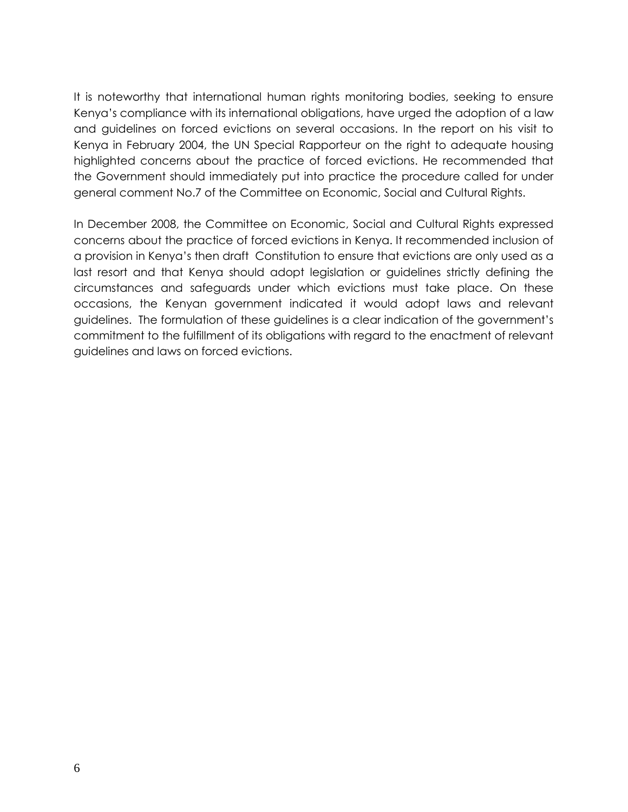It is noteworthy that international human rights monitoring bodies, seeking to ensure Kenya's compliance with its international obligations, have urged the adoption of a law and guidelines on forced evictions on several occasions. In the report on his visit to Kenya in February 2004, the UN Special Rapporteur on the right to adequate housing highlighted concerns about the practice of forced evictions. He recommended that the Government should immediately put into practice the procedure called for under general comment No.7 of the Committee on Economic, Social and Cultural Rights.

In December 2008, the Committee on Economic, Social and Cultural Rights expressed concerns about the practice of forced evictions in Kenya. It recommended inclusion of a provision in Kenya's then draft Constitution to ensure that evictions are only used as a last resort and that Kenya should adopt legislation or guidelines strictly defining the circumstances and safeguards under which evictions must take place. On these occasions, the Kenyan government indicated it would adopt laws and relevant guidelines. The formulation of these guidelines is a clear indication of the government's commitment to the fulfillment of its obligations with regard to the enactment of relevant guidelines and laws on forced evictions.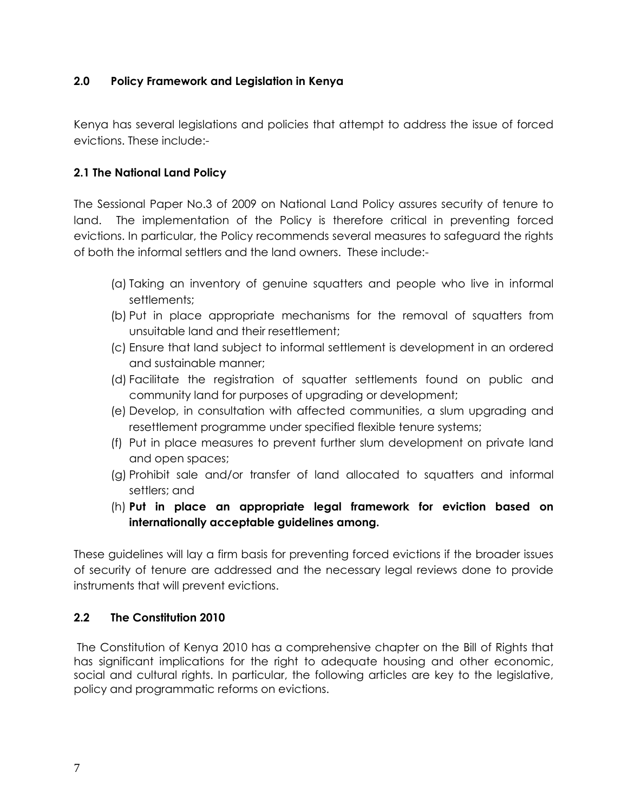### <span id="page-10-0"></span>**2.0 Policy Framework and Legislation in Kenya**

Kenya has several legislations and policies that attempt to address the issue of forced evictions. These include:-

## **2.1 The National Land Policy**

The Sessional Paper No.3 of 2009 on National Land Policy assures security of tenure to land. The implementation of the Policy is therefore critical in preventing forced evictions. In particular, the Policy recommends several measures to safeguard the rights of both the informal settlers and the land owners. These include:-

- (a) Taking an inventory of genuine squatters and people who live in informal settlements;
- (b) Put in place appropriate mechanisms for the removal of squatters from unsuitable land and their resettlement;
- (c) Ensure that land subject to informal settlement is development in an ordered and sustainable manner;
- (d) Facilitate the registration of squatter settlements found on public and community land for purposes of upgrading or development;
- (e) Develop, in consultation with affected communities, a slum upgrading and resettlement programme under specified flexible tenure systems;
- (f) Put in place measures to prevent further slum development on private land and open spaces;
- (g) Prohibit sale and/or transfer of land allocated to squatters and informal settlers; and
- <span id="page-10-1"></span>(h) **Put in place an appropriate legal framework for eviction based on internationally acceptable guidelines among.**

These guidelines will lay a firm basis for preventing forced evictions if the broader issues of security of tenure are addressed and the necessary legal reviews done to provide instruments that will prevent evictions.

### **2.2 The Constitution 2010**

The Constitution of Kenya 2010 has a comprehensive chapter on the Bill of Rights that has significant implications for the right to adequate housing and other economic, social and cultural rights. In particular, the following articles are key to the legislative, policy and programmatic reforms on evictions.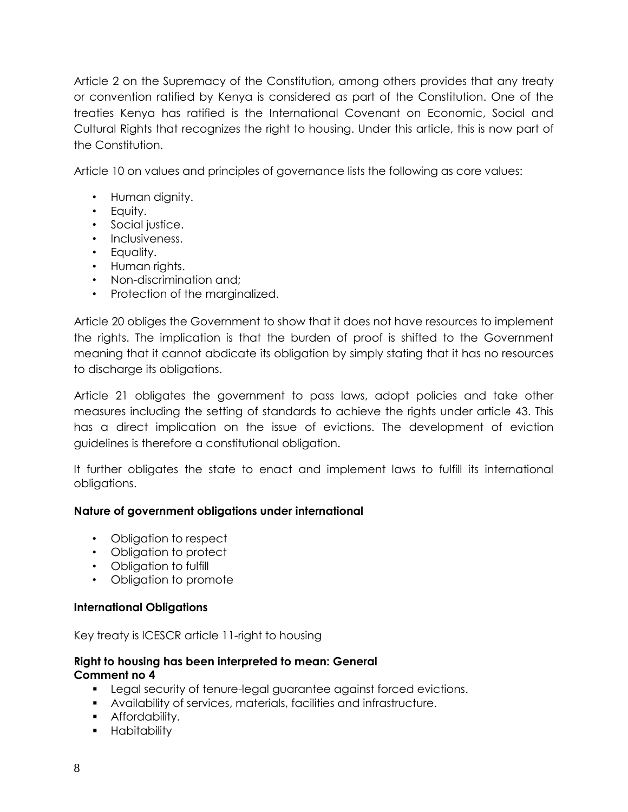Article 2 on the Supremacy of the Constitution, among others provides that any treaty or convention ratified by Kenya is considered as part of the Constitution. One of the treaties Kenya has ratified is the International Covenant on Economic, Social and Cultural Rights that recognizes the right to housing. Under this article, this is now part of the Constitution.

Article 10 on values and principles of governance lists the following as core values:

- Human dignity.
- Equity.
- Social justice.
- Inclusiveness.
- Equality.
- Human rights.
- Non-discrimination and;
- Protection of the marginalized.

Article 20 obliges the Government to show that it does not have resources to implement the rights. The implication is that the burden of proof is shifted to the Government meaning that it cannot abdicate its obligation by simply stating that it has no resources to discharge its obligations.

Article 21 obligates the government to pass laws, adopt policies and take other measures including the setting of standards to achieve the rights under article 43. This has a direct implication on the issue of evictions. The development of eviction guidelines is therefore a constitutional obligation.

It further obligates the state to enact and implement laws to fulfill its international obligations.

### **Nature of government obligations under international**

- Obligation to respect
- Obligation to protect
- Obligation to fulfill
- Obligation to promote

### **International Obligations**

Key treaty is ICESCR article 11-right to housing

#### **Right to housing has been interpreted to mean: General Comment no 4**

- Legal security of tenure-legal guarantee against forced evictions.
- Availability of services, materials, facilities and infrastructure.
- **•** Affordability.
- **-** Habitability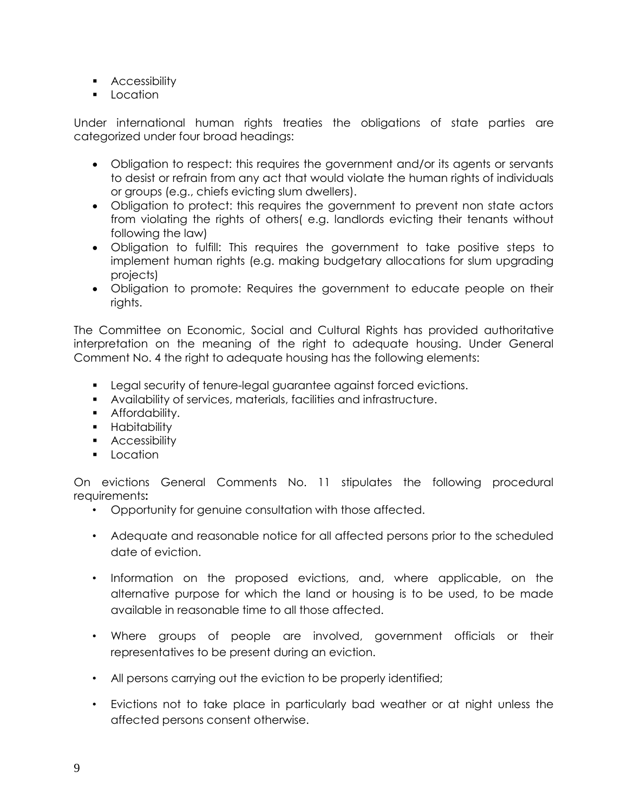- **Accessibility**
- **Location**

Under international human rights treaties the obligations of state parties are categorized under four broad headings:

- Obligation to respect: this requires the government and/or its agents or servants to desist or refrain from any act that would violate the human rights of individuals or groups (e.g., chiefs evicting slum dwellers).
- Obligation to protect: this requires the government to prevent non state actors from violating the rights of others( e.g. landlords evicting their tenants without following the law)
- Obligation to fulfill: This requires the government to take positive steps to implement human rights (e.g. making budgetary allocations for slum upgrading projects)
- Obligation to promote: Requires the government to educate people on their rights.

The Committee on Economic, Social and Cultural Rights has provided authoritative interpretation on the meaning of the right to adequate housing. Under General Comment No. 4 the right to adequate housing has the following elements:

- **Legal security of tenure-legal guarantee against forced evictions.**
- Availability of services, materials, facilities and infrastructure.
- **Affordability.**
- **-** Habitability
- **Accessibility**
- **Location**

On evictions General Comments No. 11 stipulates the following procedural requirements**:**

- Opportunity for genuine consultation with those affected.
- Adequate and reasonable notice for all affected persons prior to the scheduled date of eviction.
- Information on the proposed evictions, and, where applicable, on the alternative purpose for which the land or housing is to be used, to be made available in reasonable time to all those affected.
- Where groups of people are involved, government officials or their representatives to be present during an eviction.
- All persons carrying out the eviction to be properly identified;
- Evictions not to take place in particularly bad weather or at night unless the affected persons consent otherwise.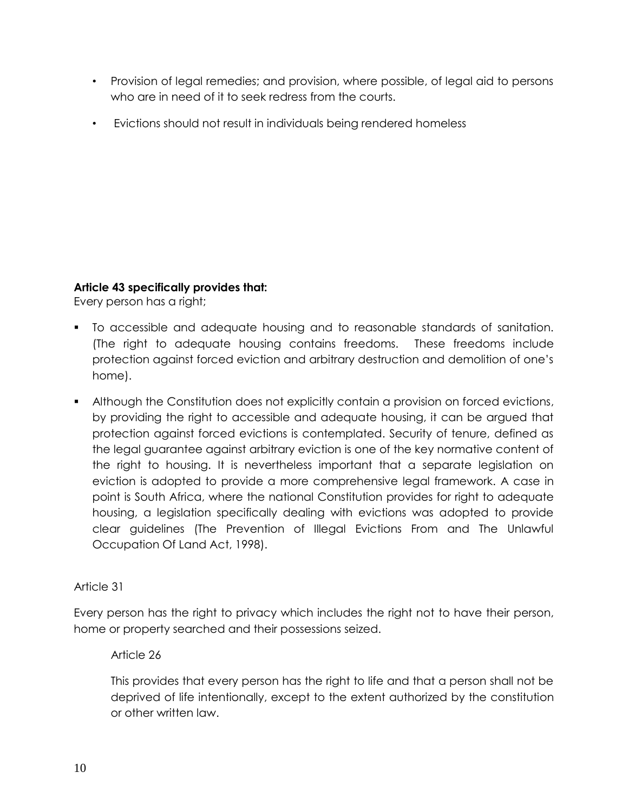- Provision of legal remedies; and provision, where possible, of legal aid to persons who are in need of it to seek redress from the courts.
- Evictions should not result in individuals being rendered homeless

## **Article 43 specifically provides that:**

Every person has a right;

- To accessible and adequate housing and to reasonable standards of sanitation. (The right to adequate housing contains freedoms. These freedoms include protection against forced eviction and arbitrary destruction and demolition of one's home).
- Although the Constitution does not explicitly contain a provision on forced evictions, by providing the right to accessible and adequate housing, it can be argued that protection against forced evictions is contemplated. Security of tenure, defined as the legal guarantee against arbitrary eviction is one of the key normative content of the right to housing. It is nevertheless important that a separate legislation on eviction is adopted to provide a more comprehensive legal framework. A case in point is South Africa, where the national Constitution provides for right to adequate housing, a legislation specifically dealing with evictions was adopted to provide clear guidelines (The Prevention of Illegal Evictions From and The Unlawful Occupation Of Land Act, 1998).

# Article 31

Every person has the right to privacy which includes the right not to have their person, home or property searched and their possessions seized.

## Article 26

This provides that every person has the right to life and that a person shall not be deprived of life intentionally, except to the extent authorized by the constitution or other written law.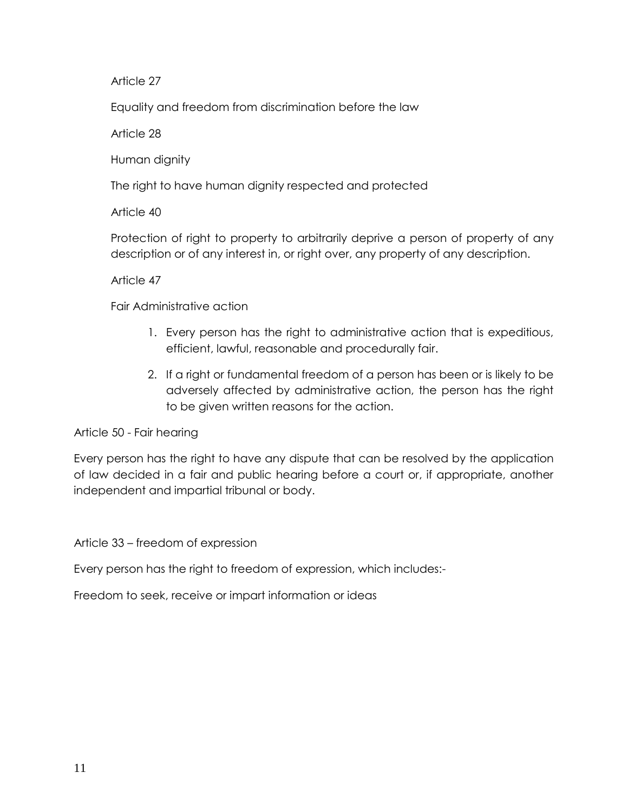Article 27

Equality and freedom from discrimination before the law

Article 28

Human dignity

The right to have human dignity respected and protected

Article 40

Protection of right to property to arbitrarily deprive a person of property of any description or of any interest in, or right over, any property of any description.

Article 47

Fair Administrative action

- 1. Every person has the right to administrative action that is expeditious, efficient, lawful, reasonable and procedurally fair.
- 2. If a right or fundamental freedom of a person has been or is likely to be adversely affected by administrative action, the person has the right to be given written reasons for the action.

Article 50 - Fair hearing

Every person has the right to have any dispute that can be resolved by the application of law decided in a fair and public hearing before a court or, if appropriate, another independent and impartial tribunal or body.

Article 33 – freedom of expression

Every person has the right to freedom of expression, which includes:-

Freedom to seek, receive or impart information or ideas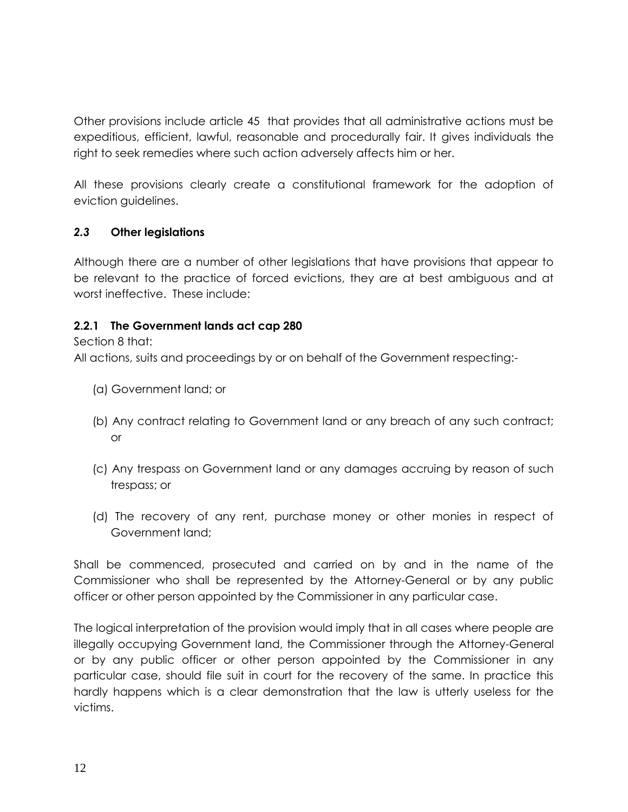Other provisions include article 45 that provides that all administrative actions must be expeditious, efficient, lawful, reasonable and procedurally fair. It gives individuals the right to seek remedies where such action adversely affects him or her.

All these provisions clearly create a constitutional framework for the adoption of eviction guidelines.

## <span id="page-15-0"></span>*2.3* **Other legislations**

Although there are a number of other legislations that have provisions that appear to be relevant to the practice of forced evictions, they are at best ambiguous and at worst ineffective. These include:

## <span id="page-15-1"></span>**2.2.1 The Government lands act cap 280**

Section 8 that:

All actions, suits and proceedings by or on behalf of the Government respecting:-

- (a) Government land; or
- (b) Any contract relating to Government land or any breach of any such contract; or
- (c) Any trespass on Government land or any damages accruing by reason of such trespass; or
- (d) The recovery of any rent, purchase money or other monies in respect of Government land;

Shall be commenced, prosecuted and carried on by and in the name of the Commissioner who shall be represented by the Attorney-General or by any public officer or other person appointed by the Commissioner in any particular case.

The logical interpretation of the provision would imply that in all cases where people are illegally occupying Government land, the Commissioner through the Attorney-General or by any public officer or other person appointed by the Commissioner in any particular case, should file suit in court for the recovery of the same. In practice this hardly happens which is a clear demonstration that the law is utterly useless for the victims.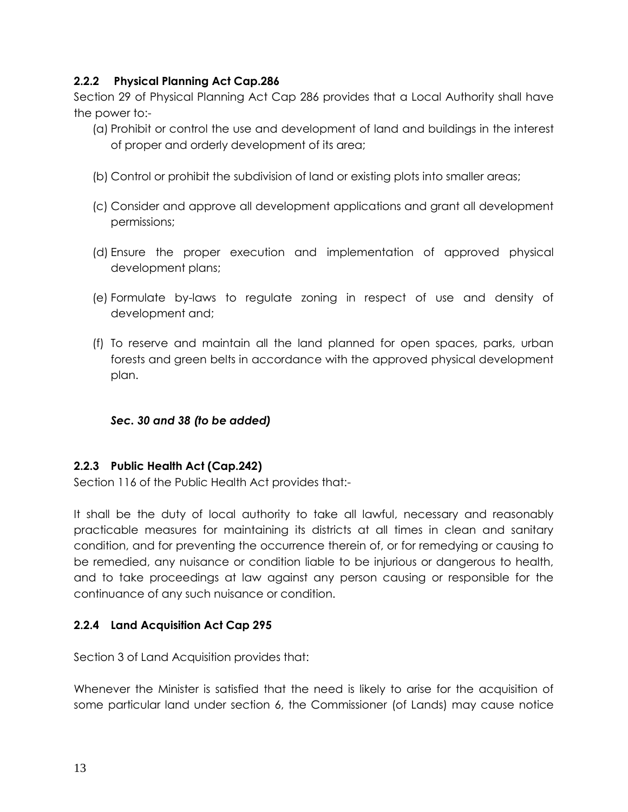## <span id="page-16-0"></span>**2.2.2 Physical Planning Act Cap.286**

Section 29 of Physical Planning Act Cap 286 provides that a Local Authority shall have the power to:-

- (a) Prohibit or control the use and development of land and buildings in the interest of proper and orderly development of its area;
- (b) Control or prohibit the subdivision of land or existing plots into smaller areas;
- (c) Consider and approve all development applications and grant all development permissions;
- (d) Ensure the proper execution and implementation of approved physical development plans;
- (e) Formulate by-laws to regulate zoning in respect of use and density of development and;
- (f) To reserve and maintain all the land planned for open spaces, parks, urban forests and green belts in accordance with the approved physical development plan.

### *Sec. 30 and 38 (to be added)*

### <span id="page-16-1"></span>**2.2.3 Public Health Act (Cap.242)**

Section 116 of the Public Health Act provides that:-

It shall be the duty of local authority to take all lawful, necessary and reasonably practicable measures for maintaining its districts at all times in clean and sanitary condition, and for preventing the occurrence therein of, or for remedying or causing to be remedied, any nuisance or condition liable to be injurious or dangerous to health, and to take proceedings at law against any person causing or responsible for the continuance of any such nuisance or condition.

### <span id="page-16-2"></span>**2.2.4 Land Acquisition Act Cap 295**

Section 3 of Land Acquisition provides that:

Whenever the Minister is satisfied that the need is likely to arise for the acquisition of some particular land under section 6, the Commissioner (of Lands) may cause notice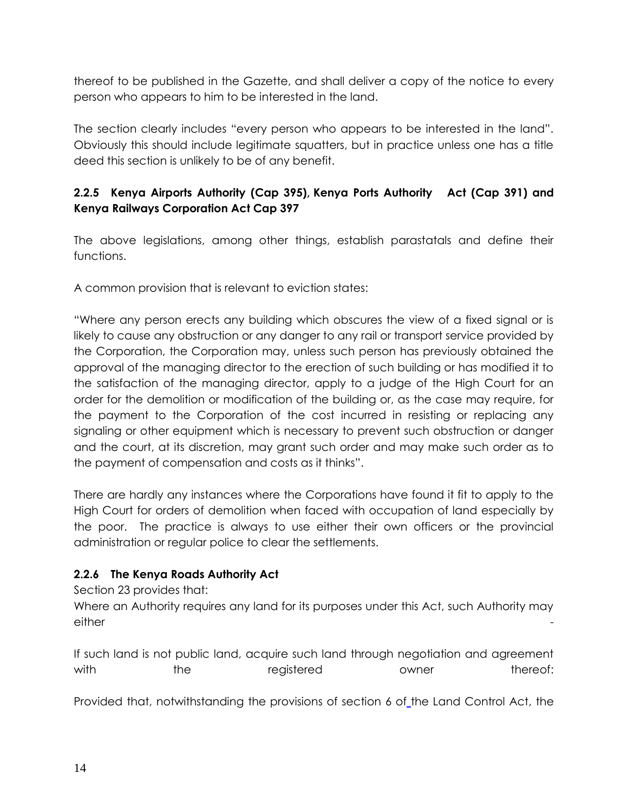thereof to be published in the Gazette, and shall deliver a copy of the notice to every person who appears to him to be interested in the land.

The section clearly includes "every person who appears to be interested in the land". Obviously this should include legitimate squatters, but in practice unless one has a title deed this section is unlikely to be of any benefit.

## <span id="page-17-1"></span><span id="page-17-0"></span>**2.2.5 Kenya Airports Authority (Cap 395), Kenya Ports Authority Act (Cap 391) and Kenya Railways Corporation Act Cap 397**

The above legislations, among other things, establish parastatals and define their functions.

A common provision that is relevant to eviction states:

"Where any person erects any building which obscures the view of a fixed signal or is likely to cause any obstruction or any danger to any rail or transport service provided by the Corporation, the Corporation may, unless such person has previously obtained the approval of the managing director to the erection of such building or has modified it to the satisfaction of the managing director, apply to a judge of the High Court for an order for the demolition or modification of the building or, as the case may require, for the payment to the Corporation of the cost incurred in resisting or replacing any signaling or other equipment which is necessary to prevent such obstruction or danger and the court, at its discretion, may grant such order and may make such order as to the payment of compensation and costs as it thinks".

There are hardly any instances where the Corporations have found it fit to apply to the High Court for orders of demolition when faced with occupation of land especially by the poor. The practice is always to use either their own officers or the provincial administration or regular police to clear the settlements.

## <span id="page-17-2"></span>**2.2.6 The Kenya Roads Authority Act**

Section 23 provides that:

Where an Authority requires any land for its purposes under this Act, such Authority may either -

If such land is not public land, acquire such land through negotiation and agreement with the registered owner thereof:

Provided that, notwithstanding the provisions of section 6 of [the Land Control Act,](http://www.kenyalaw.org/kenyalaw/klr_app/view_cap.php?CapID=214) the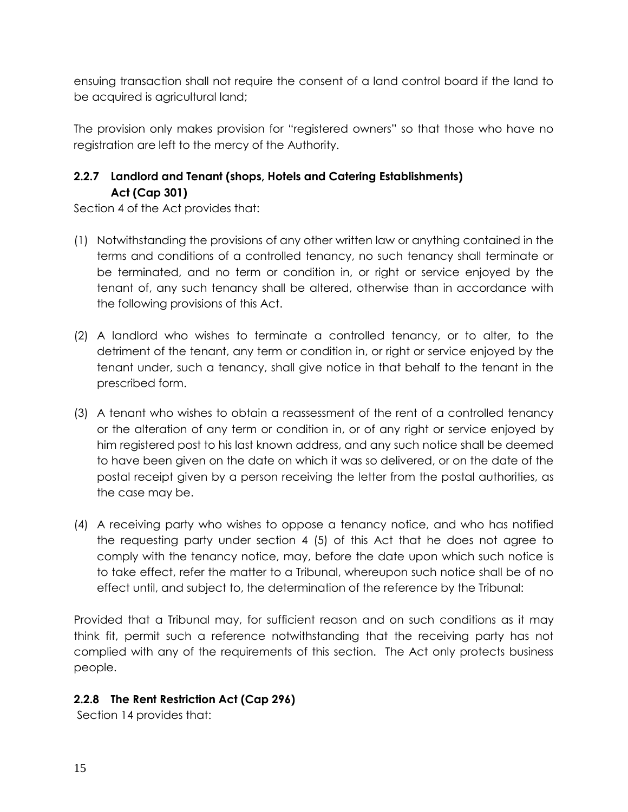ensuing transaction shall not require the consent of a land control board if the land to be acquired is agricultural land;

The provision only makes provision for "registered owners" so that those who have no registration are left to the mercy of the Authority.

# <span id="page-18-0"></span>**2.2.7 Landlord and Tenant (shops, Hotels and Catering Establishments) Act (Cap 301)**

Section 4 of the Act provides that:

- (1) Notwithstanding the provisions of any other written law or anything contained in the terms and conditions of a controlled tenancy, no such tenancy shall terminate or be terminated, and no term or condition in, or right or service enjoyed by the tenant of, any such tenancy shall be altered, otherwise than in accordance with the following provisions of this Act.
- (2) A landlord who wishes to terminate a controlled tenancy, or to alter, to the detriment of the tenant, any term or condition in, or right or service enjoyed by the tenant under, such a tenancy, shall give notice in that behalf to the tenant in the prescribed form.
- (3) A tenant who wishes to obtain a reassessment of the rent of a controlled tenancy or the alteration of any term or condition in, or of any right or service enjoyed by him registered post to his last known address, and any such notice shall be deemed to have been given on the date on which it was so delivered, or on the date of the postal receipt given by a person receiving the letter from the postal authorities, as the case may be.
- (4) A receiving party who wishes to oppose a tenancy notice, and who has notified the requesting party under section 4 (5) of this Act that he does not agree to comply with the tenancy notice, may, before the date upon which such notice is to take effect, refer the matter to a Tribunal, whereupon such notice shall be of no effect until, and subject to, the determination of the reference by the Tribunal:

Provided that a Tribunal may, for sufficient reason and on such conditions as it may think fit, permit such a reference notwithstanding that the receiving party has not complied with any of the requirements of this section. The Act only protects business people.

# <span id="page-18-1"></span>**2.2.8 The Rent Restriction Act (Cap 296)**

Section 14 provides that: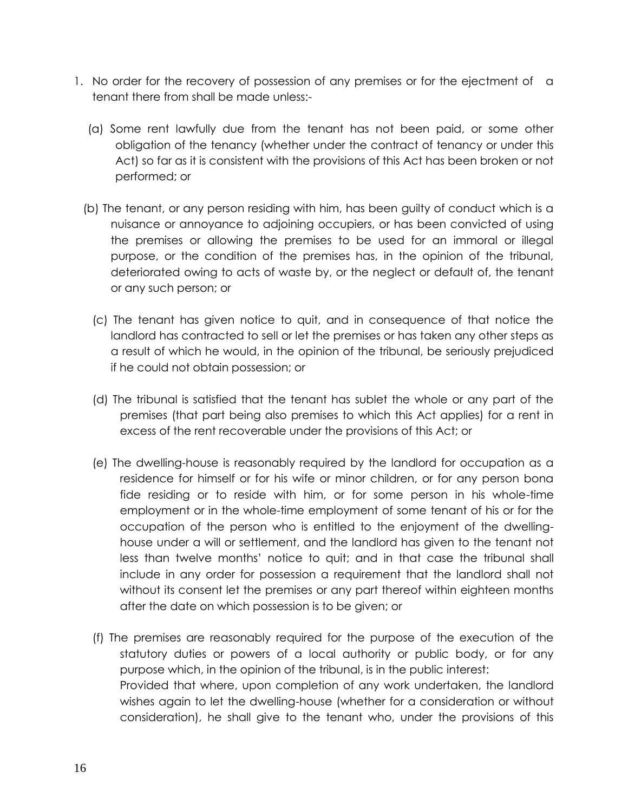- 1. No order for the recovery of possession of any premises or for the ejectment of a tenant there from shall be made unless:-
	- (a) Some rent lawfully due from the tenant has not been paid, or some other obligation of the tenancy (whether under the contract of tenancy or under this Act) so far as it is consistent with the provisions of this Act has been broken or not performed; or
	- (b) The tenant, or any person residing with him, has been guilty of conduct which is a nuisance or annoyance to adjoining occupiers, or has been convicted of using the premises or allowing the premises to be used for an immoral or illegal purpose, or the condition of the premises has, in the opinion of the tribunal, deteriorated owing to acts of waste by, or the neglect or default of, the tenant or any such person; or
		- (c) The tenant has given notice to quit, and in consequence of that notice the landlord has contracted to sell or let the premises or has taken any other steps as a result of which he would, in the opinion of the tribunal, be seriously prejudiced if he could not obtain possession; or
		- (d) The tribunal is satisfied that the tenant has sublet the whole or any part of the premises (that part being also premises to which this Act applies) for a rent in excess of the rent recoverable under the provisions of this Act; or
		- (e) The dwelling-house is reasonably required by the landlord for occupation as a residence for himself or for his wife or minor children, or for any person bona fide residing or to reside with him, or for some person in his whole-time employment or in the whole-time employment of some tenant of his or for the occupation of the person who is entitled to the enjoyment of the dwellinghouse under a will or settlement, and the landlord has given to the tenant not less than twelve months' notice to quit; and in that case the tribunal shall include in any order for possession a requirement that the landlord shall not without its consent let the premises or any part thereof within eighteen months after the date on which possession is to be given; or
		- (f) The premises are reasonably required for the purpose of the execution of the statutory duties or powers of a local authority or public body, or for any purpose which, in the opinion of the tribunal, is in the public interest: Provided that where, upon completion of any work undertaken, the landlord wishes again to let the dwelling-house (whether for a consideration or without consideration), he shall give to the tenant who, under the provisions of this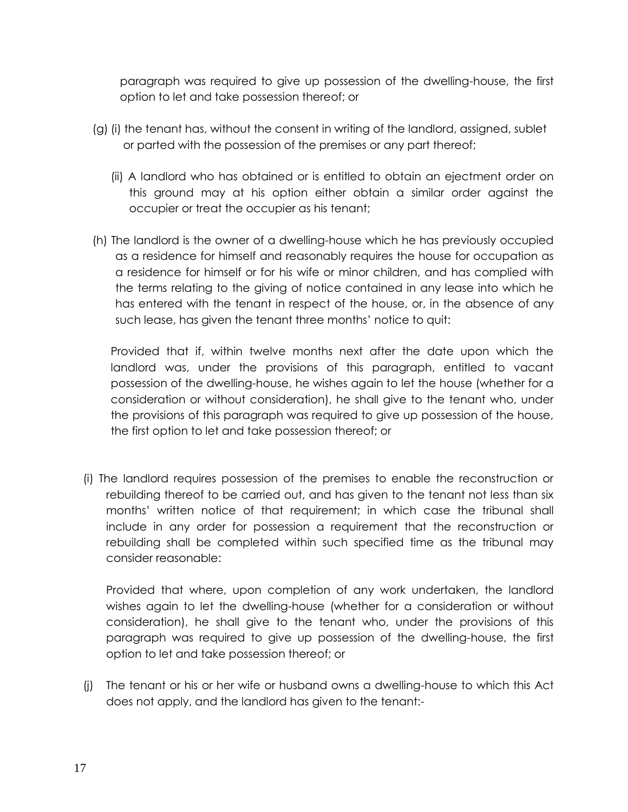paragraph was required to give up possession of the dwelling-house, the first option to let and take possession thereof; or

- (g) (i) the tenant has, without the consent in writing of the landlord, assigned, sublet or parted with the possession of the premises or any part thereof;
	- (ii) A landlord who has obtained or is entitled to obtain an ejectment order on this ground may at his option either obtain a similar order against the occupier or treat the occupier as his tenant;
- (h) The landlord is the owner of a dwelling-house which he has previously occupied as a residence for himself and reasonably requires the house for occupation as a residence for himself or for his wife or minor children, and has complied with the terms relating to the giving of notice contained in any lease into which he has entered with the tenant in respect of the house, or, in the absence of any such lease, has given the tenant three months' notice to quit:

Provided that if, within twelve months next after the date upon which the landlord was, under the provisions of this paragraph, entitled to vacant possession of the dwelling-house, he wishes again to let the house (whether for a consideration or without consideration), he shall give to the tenant who, under the provisions of this paragraph was required to give up possession of the house, the first option to let and take possession thereof; or

(i) The landlord requires possession of the premises to enable the reconstruction or rebuilding thereof to be carried out, and has given to the tenant not less than six months' written notice of that requirement; in which case the tribunal shall include in any order for possession a requirement that the reconstruction or rebuilding shall be completed within such specified time as the tribunal may consider reasonable:

Provided that where, upon completion of any work undertaken, the landlord wishes again to let the dwelling-house (whether for a consideration or without consideration), he shall give to the tenant who, under the provisions of this paragraph was required to give up possession of the dwelling-house, the first option to let and take possession thereof; or

(j) The tenant or his or her wife or husband owns a dwelling-house to which this Act does not apply, and the landlord has given to the tenant:-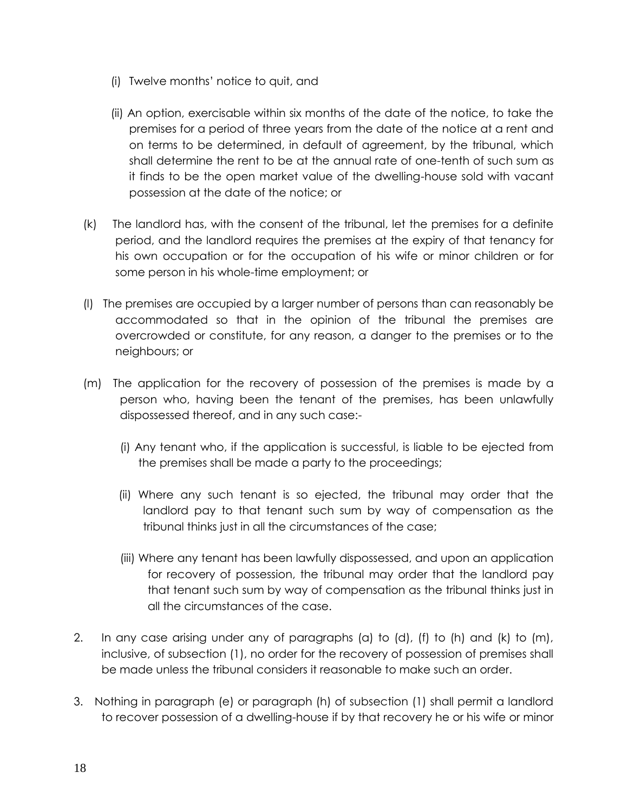- (i) Twelve months' notice to quit, and
- (ii) An option, exercisable within six months of the date of the notice, to take the premises for a period of three years from the date of the notice at a rent and on terms to be determined, in default of agreement, by the tribunal, which shall determine the rent to be at the annual rate of one-tenth of such sum as it finds to be the open market value of the dwelling-house sold with vacant possession at the date of the notice; or
- (k) The landlord has, with the consent of the tribunal, let the premises for a definite period, and the landlord requires the premises at the expiry of that tenancy for his own occupation or for the occupation of his wife or minor children or for some person in his whole-time employment; or
- (l) The premises are occupied by a larger number of persons than can reasonably be accommodated so that in the opinion of the tribunal the premises are overcrowded or constitute, for any reason, a danger to the premises or to the neighbours; or
- (m) The application for the recovery of possession of the premises is made by a person who, having been the tenant of the premises, has been unlawfully dispossessed thereof, and in any such case:-
	- (i) Any tenant who, if the application is successful, is liable to be ejected from the premises shall be made a party to the proceedings;
	- (ii) Where any such tenant is so ejected, the tribunal may order that the landlord pay to that tenant such sum by way of compensation as the tribunal thinks just in all the circumstances of the case;
	- (iii) Where any tenant has been lawfully dispossessed, and upon an application for recovery of possession, the tribunal may order that the landlord pay that tenant such sum by way of compensation as the tribunal thinks just in all the circumstances of the case.
- 2. In any case arising under any of paragraphs (a) to (d), (f) to (h) and (k) to (m), inclusive, of subsection (1), no order for the recovery of possession of premises shall be made unless the tribunal considers it reasonable to make such an order.
- 3. Nothing in paragraph (e) or paragraph (h) of subsection (1) shall permit a landlord to recover possession of a dwelling-house if by that recovery he or his wife or minor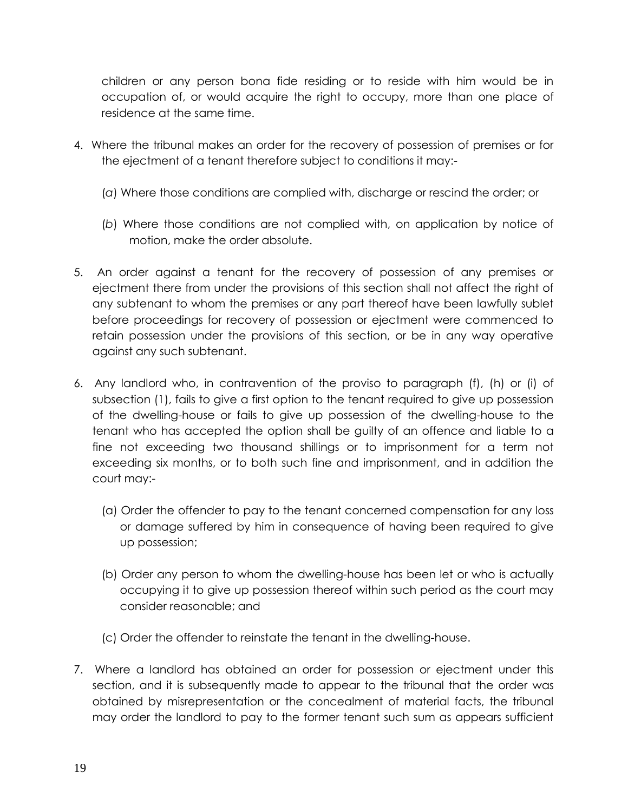children or any person bona fide residing or to reside with him would be in occupation of, or would acquire the right to occupy, more than one place of residence at the same time.

- 4. Where the tribunal makes an order for the recovery of possession of premises or for the ejectment of a tenant therefore subject to conditions it may:-
	- (*a*) Where those conditions are complied with, discharge or rescind the order; or
	- (*b*) Where those conditions are not complied with, on application by notice of motion, make the order absolute.
- 5. An order against a tenant for the recovery of possession of any premises or ejectment there from under the provisions of this section shall not affect the right of any subtenant to whom the premises or any part thereof have been lawfully sublet before proceedings for recovery of possession or ejectment were commenced to retain possession under the provisions of this section, or be in any way operative against any such subtenant.
- 6. Any landlord who, in contravention of the proviso to paragraph (f), (h) or (i) of subsection (1), fails to give a first option to the tenant required to give up possession of the dwelling-house or fails to give up possession of the dwelling-house to the tenant who has accepted the option shall be guilty of an offence and liable to a fine not exceeding two thousand shillings or to imprisonment for a term not exceeding six months, or to both such fine and imprisonment, and in addition the court may:-
	- (a) Order the offender to pay to the tenant concerned compensation for any loss or damage suffered by him in consequence of having been required to give up possession;
	- (b) Order any person to whom the dwelling-house has been let or who is actually occupying it to give up possession thereof within such period as the court may consider reasonable; and
	- (c) Order the offender to reinstate the tenant in the dwelling-house.
- 7. Where a landlord has obtained an order for possession or ejectment under this section, and it is subsequently made to appear to the tribunal that the order was obtained by misrepresentation or the concealment of material facts, the tribunal may order the landlord to pay to the former tenant such sum as appears sufficient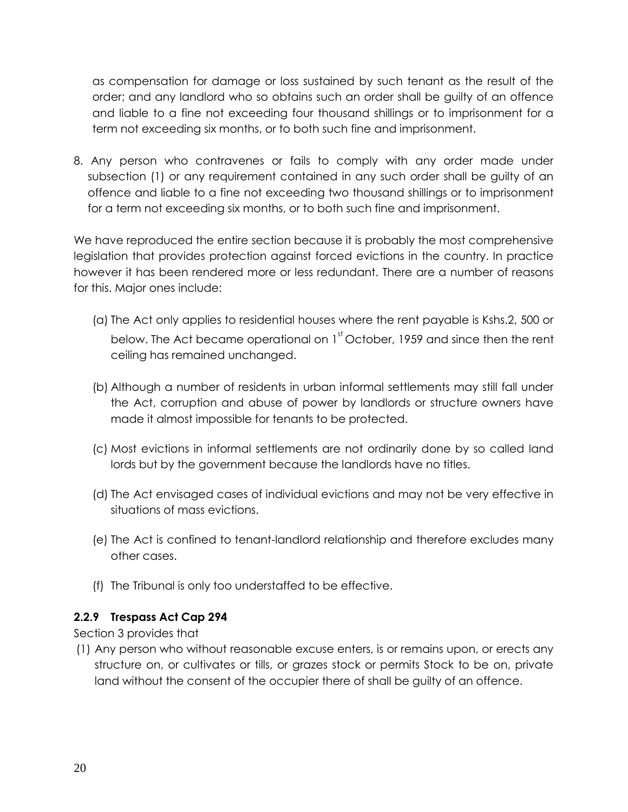as compensation for damage or loss sustained by such tenant as the result of the order; and any landlord who so obtains such an order shall be guilty of an offence and liable to a fine not exceeding four thousand shillings or to imprisonment for a term not exceeding six months, or to both such fine and imprisonment.

8. Any person who contravenes or fails to comply with any order made under subsection (1) or any requirement contained in any such order shall be guilty of an offence and liable to a fine not exceeding two thousand shillings or to imprisonment for a term not exceeding six months, or to both such fine and imprisonment.

We have reproduced the entire section because it is probably the most comprehensive legislation that provides protection against forced evictions in the country. In practice however it has been rendered more or less redundant. There are a number of reasons for this. Major ones include:

- (a) The Act only applies to residential houses where the rent payable is Kshs.2, 500 or below. The Act became operational on  $1^{\text{st}}$  October, 1959 and since then the rent ceiling has remained unchanged.
- (b) Although a number of residents in urban informal settlements may still fall under the Act, corruption and abuse of power by landlords or structure owners have made it almost impossible for tenants to be protected.
- (c) Most evictions in informal settlements are not ordinarily done by so called land lords but by the government because the landlords have no titles.
- (d) The Act envisaged cases of individual evictions and may not be very effective in situations of mass evictions.
- (e) The Act is confined to tenant-landlord relationship and therefore excludes many other cases.
- (f) The Tribunal is only too understaffed to be effective.

## <span id="page-23-0"></span>**2.2.9 Trespass Act Cap 294**

Section 3 provides that

(1) Any person who without reasonable excuse enters, is or remains upon, or erects any structure on, or cultivates or tills, or grazes stock or permits Stock to be on, private land without the consent of the occupier there of shall be guilty of an offence.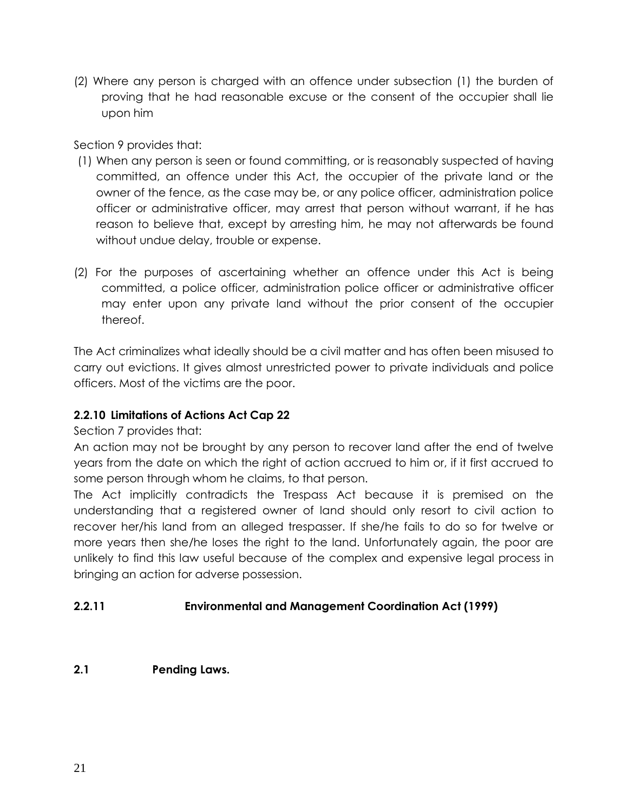(2) Where any person is charged with an offence under subsection (1) the burden of proving that he had reasonable excuse or the consent of the occupier shall lie upon him

Section 9 provides that:

- (1) When any person is seen or found committing, or is reasonably suspected of having committed, an offence under this Act, the occupier of the private land or the owner of the fence, as the case may be, or any police officer, administration police officer or administrative officer, may arrest that person without warrant, if he has reason to believe that, except by arresting him, he may not afterwards be found without undue delay, trouble or expense.
- (2) For the purposes of ascertaining whether an offence under this Act is being committed, a police officer, administration police officer or administrative officer may enter upon any private land without the prior consent of the occupier thereof.

The Act criminalizes what ideally should be a civil matter and has often been misused to carry out evictions. It gives almost unrestricted power to private individuals and police officers. Most of the victims are the poor.

## <span id="page-24-0"></span>**2.2.10 Limitations of Actions Act Cap 22**

Section 7 provides that:

An action may not be brought by any person to recover land after the end of twelve years from the date on which the right of action accrued to him or, if it first accrued to some person through whom he claims, to that person.

The Act implicitly contradicts the Trespass Act because it is premised on the understanding that a registered owner of land should only resort to civil action to recover her/his land from an alleged trespasser. If she/he fails to do so for twelve or more years then she/he loses the right to the land. Unfortunately again, the poor are unlikely to find this law useful because of the complex and expensive legal process in bringing an action for adverse possession.

## **2.2.11 Environmental and Management Coordination Act (1999)**

<span id="page-24-1"></span>**2.1 Pending Laws.**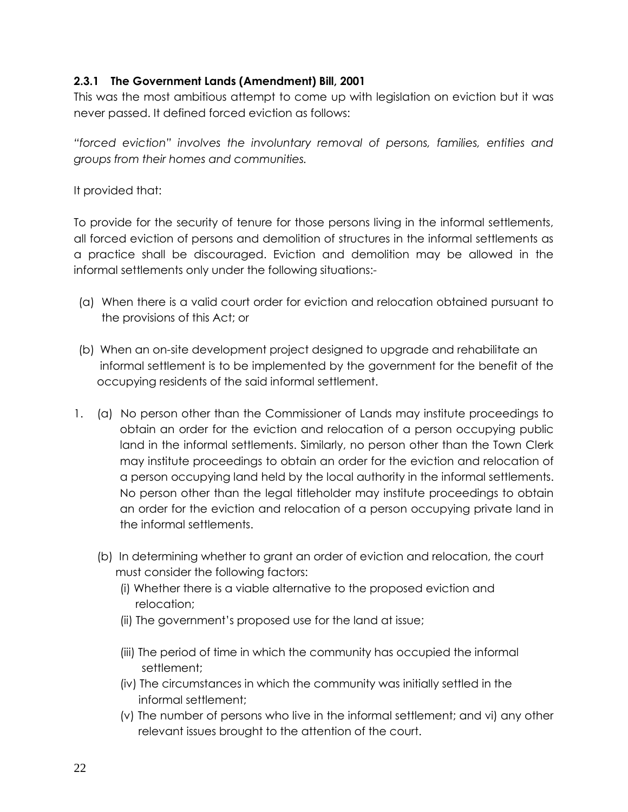## <span id="page-25-1"></span><span id="page-25-0"></span>**2.3.1 The Government Lands (Amendment) Bill, 2001**

This was the most ambitious attempt to come up with legislation on eviction but it was never passed. It defined forced eviction as follows:

*"forced eviction" involves the involuntary removal of persons, families, entities and groups from their homes and communities.*

It provided that:

To provide for the security of tenure for those persons living in the informal settlements, all forced eviction of persons and demolition of structures in the informal settlements as a practice shall be discouraged. Eviction and demolition may be allowed in the informal settlements only under the following situations:-

- (a) When there is a valid court order for eviction and relocation obtained pursuant to the provisions of this Act; or
- (b) When an on-site development project designed to upgrade and rehabilitate an informal settlement is to be implemented by the government for the benefit of the occupying residents of the said informal settlement.
- 1. (a) No person other than the Commissioner of Lands may institute proceedings to obtain an order for the eviction and relocation of a person occupying public land in the informal settlements. Similarly, no person other than the Town Clerk may institute proceedings to obtain an order for the eviction and relocation of a person occupying land held by the local authority in the informal settlements. No person other than the legal titleholder may institute proceedings to obtain an order for the eviction and relocation of a person occupying private land in the informal settlements.
	- (b) In determining whether to grant an order of eviction and relocation, the court must consider the following factors:
		- (i) Whether there is a viable alternative to the proposed eviction and relocation;
		- (ii) The government's proposed use for the land at issue;
		- (iii) The period of time in which the community has occupied the informal settlement;
		- (iv) The circumstances in which the community was initially settled in the informal settlement;
		- (v) The number of persons who live in the informal settlement; and vi) any other relevant issues brought to the attention of the court.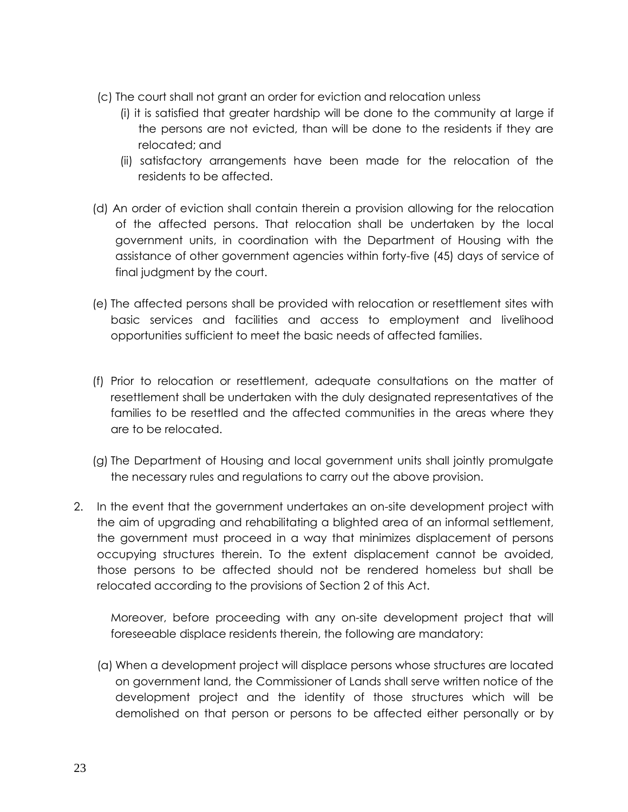- (c) The court shall not grant an order for eviction and relocation unless
	- (i) it is satisfied that greater hardship will be done to the community at large if the persons are not evicted, than will be done to the residents if they are relocated; and
	- (ii) satisfactory arrangements have been made for the relocation of the residents to be affected.
- (d) An order of eviction shall contain therein a provision allowing for the relocation of the affected persons. That relocation shall be undertaken by the local government units, in coordination with the Department of Housing with the assistance of other government agencies within forty-five (45) days of service of final judgment by the court.
- (e) The affected persons shall be provided with relocation or resettlement sites with basic services and facilities and access to employment and livelihood opportunities sufficient to meet the basic needs of affected families.
- (f) Prior to relocation or resettlement, adequate consultations on the matter of resettlement shall be undertaken with the duly designated representatives of the families to be resettled and the affected communities in the areas where they are to be relocated.
- (g) The Department of Housing and local government units shall jointly promulgate the necessary rules and regulations to carry out the above provision.
- 2. In the event that the government undertakes an on-site development project with the aim of upgrading and rehabilitating a blighted area of an informal settlement, the government must proceed in a way that minimizes displacement of persons occupying structures therein. To the extent displacement cannot be avoided, those persons to be affected should not be rendered homeless but shall be relocated according to the provisions of Section 2 of this Act.

Moreover, before proceeding with any on-site development project that will foreseeable displace residents therein, the following are mandatory:

(a) When a development project will displace persons whose structures are located on government land, the Commissioner of Lands shall serve written notice of the development project and the identity of those structures which will be demolished on that person or persons to be affected either personally or by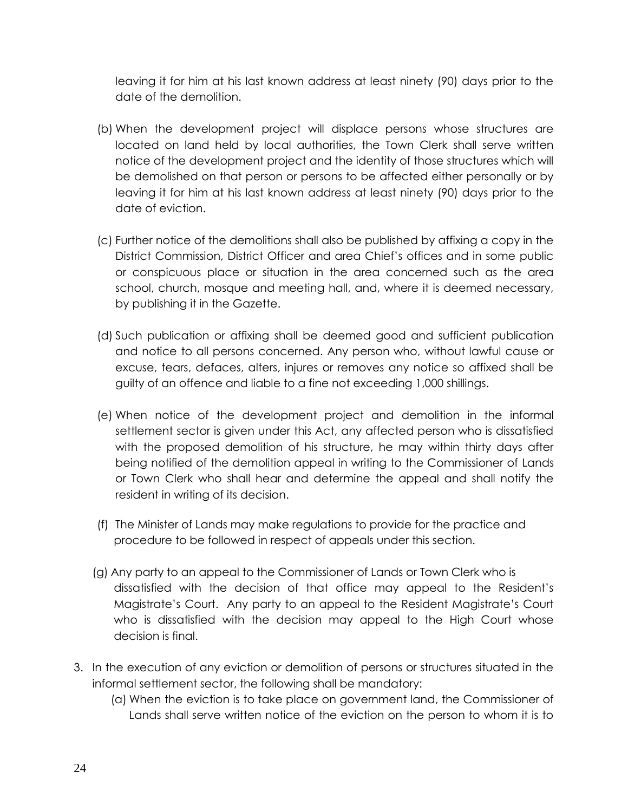leaving it for him at his last known address at least ninety (90) days prior to the date of the demolition.

- (b) When the development project will displace persons whose structures are located on land held by local authorities, the Town Clerk shall serve written notice of the development project and the identity of those structures which will be demolished on that person or persons to be affected either personally or by leaving it for him at his last known address at least ninety (90) days prior to the date of eviction.
- (c) Further notice of the demolitions shall also be published by affixing a copy in the District Commission, District Officer and area Chief's offices and in some public or conspicuous place or situation in the area concerned such as the area school, church, mosque and meeting hall, and, where it is deemed necessary, by publishing it in the Gazette.
- (d) Such publication or affixing shall be deemed good and sufficient publication and notice to all persons concerned. Any person who, without lawful cause or excuse, tears, defaces, alters, injures or removes any notice so affixed shall be guilty of an offence and liable to a fine not exceeding 1,000 shillings.
- (e) When notice of the development project and demolition in the informal settlement sector is given under this Act, any affected person who is dissatisfied with the proposed demolition of his structure, he may within thirty days after being notified of the demolition appeal in writing to the Commissioner of Lands or Town Clerk who shall hear and determine the appeal and shall notify the resident in writing of its decision.
- (f) The Minister of Lands may make regulations to provide for the practice and procedure to be followed in respect of appeals under this section.
- (g) Any party to an appeal to the Commissioner of Lands or Town Clerk who is dissatisfied with the decision of that office may appeal to the Resident's Magistrate's Court. Any party to an appeal to the Resident Magistrate's Court who is dissatisfied with the decision may appeal to the High Court whose decision is final.
- 3. In the execution of any eviction or demolition of persons or structures situated in the informal settlement sector, the following shall be mandatory:
	- (a) When the eviction is to take place on government land, the Commissioner of Lands shall serve written notice of the eviction on the person to whom it is to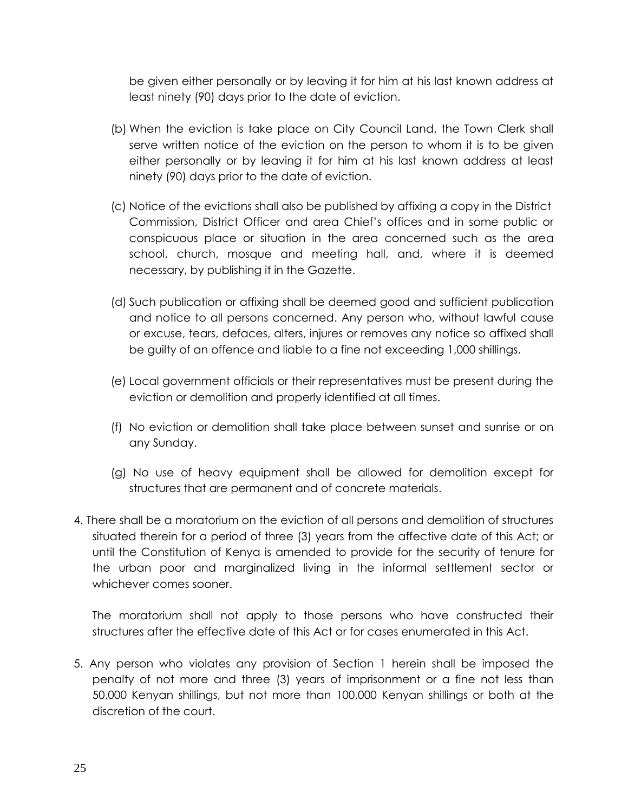be given either personally or by leaving it for him at his last known address at least ninety (90) days prior to the date of eviction.

- (b) When the eviction is take place on City Council Land, the Town Clerk shall serve written notice of the eviction on the person to whom it is to be given either personally or by leaving it for him at his last known address at least ninety (90) days prior to the date of eviction.
- (c) Notice of the evictions shall also be published by affixing a copy in the District Commission, District Officer and area Chief's offices and in some public or conspicuous place or situation in the area concerned such as the area school, church, mosque and meeting hall, and, where it is deemed necessary, by publishing it in the Gazette.
- (d) Such publication or affixing shall be deemed good and sufficient publication and notice to all persons concerned. Any person who, without lawful cause or excuse, tears, defaces, alters, injures or removes any notice so affixed shall be guilty of an offence and liable to a fine not exceeding 1,000 shillings.
- (e) Local government officials or their representatives must be present during the eviction or demolition and properly identified at all times.
- (f) No eviction or demolition shall take place between sunset and sunrise or on any Sunday.
- (g) No use of heavy equipment shall be allowed for demolition except for structures that are permanent and of concrete materials.
- 4. There shall be a moratorium on the eviction of all persons and demolition of structures situated therein for a period of three (3) years from the affective date of this Act; or until the Constitution of Kenya is amended to provide for the security of tenure for the urban poor and marginalized living in the informal settlement sector or whichever comes sooner.

The moratorium shall not apply to those persons who have constructed their structures after the effective date of this Act or for cases enumerated in this Act.

5. Any person who violates any provision of Section 1 herein shall be imposed the penalty of not more and three (3) years of imprisonment or a fine not less than 50,000 Kenyan shillings, but not more than 100,000 Kenyan shillings or both at the discretion of the court.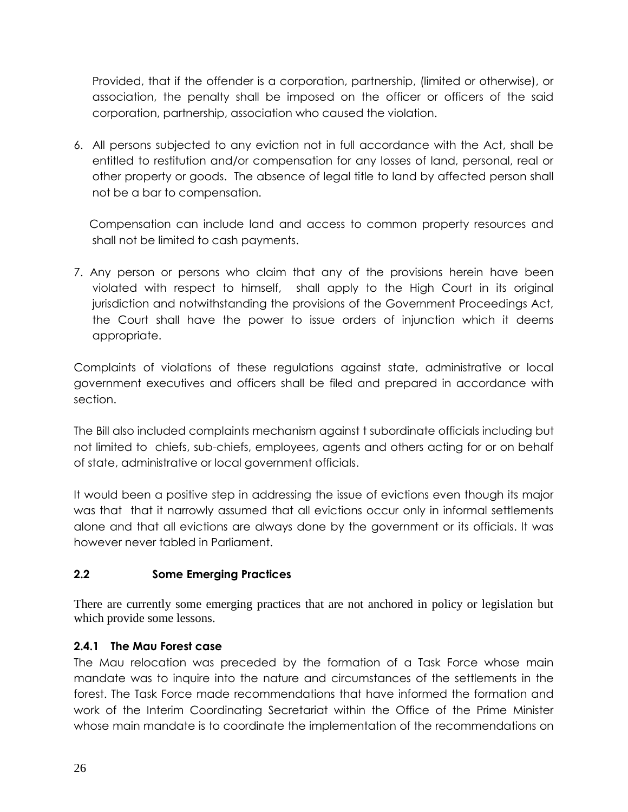Provided, that if the offender is a corporation, partnership, (limited or otherwise), or association, the penalty shall be imposed on the officer or officers of the said corporation, partnership, association who caused the violation.

6. All persons subjected to any eviction not in full accordance with the Act, shall be entitled to restitution and/or compensation for any losses of land, personal, real or other property or goods. The absence of legal title to land by affected person shall not be a bar to compensation.

 Compensation can include land and access to common property resources and shall not be limited to cash payments.

7. Any person or persons who claim that any of the provisions herein have been violated with respect to himself, shall apply to the High Court in its original jurisdiction and notwithstanding the provisions of the Government Proceedings Act, the Court shall have the power to issue orders of injunction which it deems appropriate.

Complaints of violations of these regulations against state, administrative or local government executives and officers shall be filed and prepared in accordance with section.

The Bill also included complaints mechanism against t subordinate officials including but not limited to chiefs, sub-chiefs, employees, agents and others acting for or on behalf of state, administrative or local government officials.

It would been a positive step in addressing the issue of evictions even though its major was that that it narrowly assumed that all evictions occur only in informal settlements alone and that all evictions are always done by the government or its officials. It was however never tabled in Parliament.

## <span id="page-29-0"></span>**2.2 Some Emerging Practices**

There are currently some emerging practices that are not anchored in policy or legislation but which provide some lessons.

## <span id="page-29-1"></span>**2.4.1 The Mau Forest case**

The Mau relocation was preceded by the formation of a Task Force whose main mandate was to inquire into the nature and circumstances of the settlements in the forest. The Task Force made recommendations that have informed the formation and work of the Interim Coordinating Secretariat within the Office of the Prime Minister whose main mandate is to coordinate the implementation of the recommendations on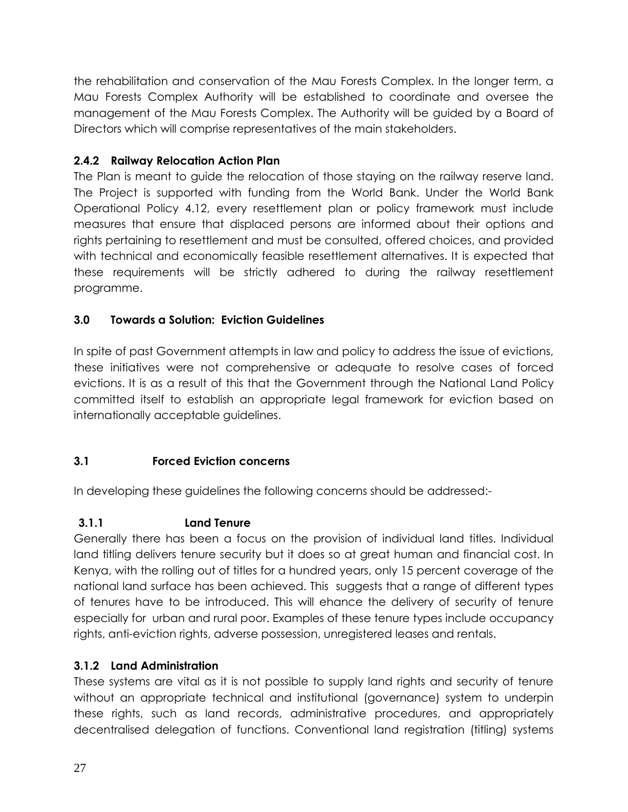the rehabilitation and conservation of the Mau Forests Complex. In the longer term, a Mau Forests Complex Authority will be established to coordinate and oversee the management of the Mau Forests Complex. The Authority will be guided by a Board of Directors which will comprise representatives of the main stakeholders.

# <span id="page-30-0"></span>**2.4.2 Railway Relocation Action Plan**

The Plan is meant to guide the relocation of those staying on the railway reserve land. The Project is supported with funding from the World Bank. Under the World Bank Operational Policy 4.12, every resettlement plan or policy framework must include measures that ensure that displaced persons are informed about their options and rights pertaining to resettlement and must be consulted, offered choices, and provided with technical and economically feasible resettlement alternatives. It is expected that these requirements will be strictly adhered to during the railway resettlement programme.

## <span id="page-30-1"></span>**3.0 Towards a Solution: Eviction Guidelines**

In spite of past Government attempts in law and policy to address the issue of evictions, these initiatives were not comprehensive or adequate to resolve cases of forced evictions. It is as a result of this that the Government through the National Land Policy committed itself to establish an appropriate legal framework for eviction based on internationally acceptable guidelines.

# <span id="page-30-2"></span>**3.1 Forced Eviction concerns**

In developing these guidelines the following concerns should be addressed:-

# <span id="page-30-3"></span>**3.1.1 Land Tenure**

Generally there has been a focus on the provision of individual land titles. Individual land titling delivers tenure security but it does so at great human and financial cost. In Kenya, with the rolling out of titles for a hundred years, only 15 percent coverage of the national land surface has been achieved. This suggests that a range of different types of tenures have to be introduced. This will ehance the delivery of security of tenure especially for urban and rural poor. Examples of these tenure types include occupancy rights, anti-eviction rights, adverse possession, unregistered leases and rentals.

# <span id="page-30-4"></span>**3.1.2 Land Administration**

These systems are vital as it is not possible to supply land rights and security of tenure without an appropriate technical and institutional (governance) system to underpin these rights, such as land records, administrative procedures, and appropriately decentralised delegation of functions. Conventional land registration (titling) systems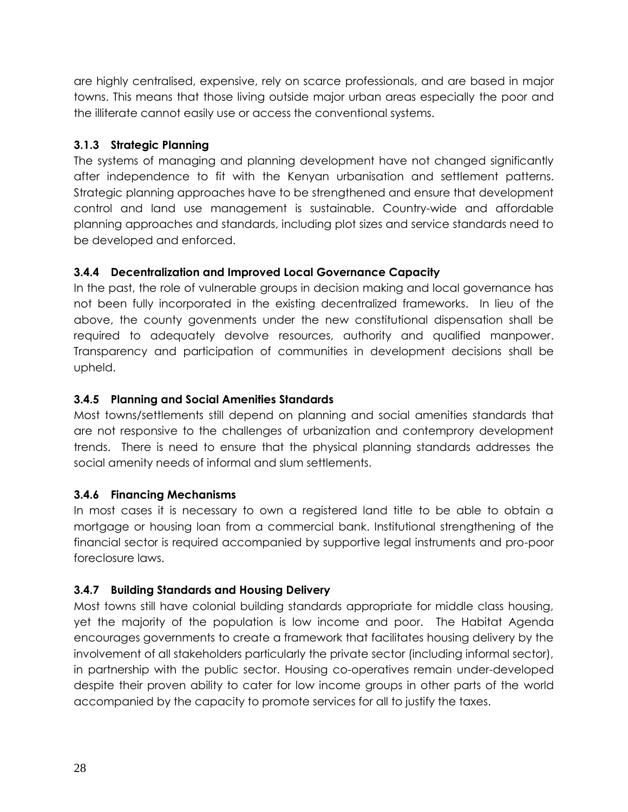are highly centralised, expensive, rely on scarce professionals, and are based in major towns. This means that those living outside major urban areas especially the poor and the illiterate cannot easily use or access the conventional systems.

## <span id="page-31-0"></span>**3.1.3 Strategic Planning**

The systems of managing and planning development have not changed significantly after independence to fit with the Kenyan urbanisation and settlement patterns. Strategic planning approaches have to be strengthened and ensure that development control and land use management is sustainable. Country-wide and affordable planning approaches and standards, including plot sizes and service standards need to be developed and enforced.

## <span id="page-31-1"></span>**3.4.4 Decentralization and Improved Local Governance Capacity**

In the past, the role of vulnerable groups in decision making and local governance has not been fully incorporated in the existing decentralized frameworks. In lieu of the above, the county govenments under the new constitutional dispensation shall be required to adequately devolve resources, authority and qualified manpower. Transparency and participation of communities in development decisions shall be upheld.

## <span id="page-31-2"></span>**3.4.5 Planning and Social Amenities Standards**

Most towns/settlements still depend on planning and social amenities standards that are not responsive to the challenges of urbanization and contemprory development trends. There is need to ensure that the physical planning standards addresses the social amenity needs of informal and slum settlements.

### <span id="page-31-3"></span>**3.4.6 Financing Mechanisms**

In most cases it is necessary to own a registered land title to be able to obtain a mortgage or housing loan from a commercial bank. Institutional strengthening of the financial sector is required accompanied by supportive legal instruments and pro-poor foreclosure laws.

## <span id="page-31-4"></span>**3.4.7 Building Standards and Housing Delivery**

Most towns still have colonial building standards appropriate for middle class housing, yet the majority of the population is low income and poor. The Habitat Agenda encourages governments to create a framework that facilitates housing delivery by the involvement of all stakeholders particularly the private sector (including informal sector), in partnership with the public sector. Housing co-operatives remain under-developed despite their proven ability to cater for low income groups in other parts of the world accompanied by the capacity to promote services for all to justify the taxes.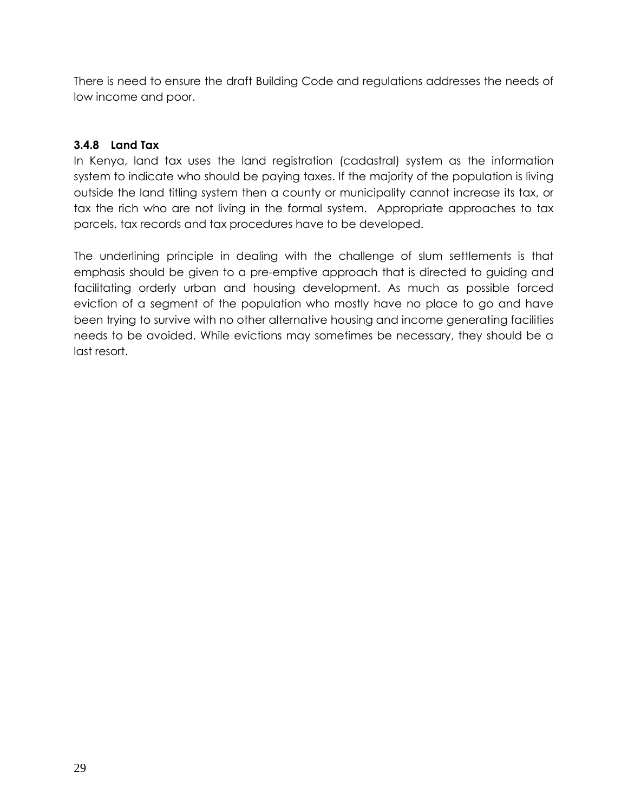There is need to ensure the draft Building Code and regulations addresses the needs of low income and poor.

## <span id="page-32-0"></span>**3.4.8 Land Tax**

In Kenya, land tax uses the land registration (cadastral) system as the information system to indicate who should be paying taxes. If the majority of the population is living outside the land titling system then a county or municipality cannot increase its tax, or tax the rich who are not living in the formal system. Appropriate approaches to tax parcels, tax records and tax procedures have to be developed.

The underlining principle in dealing with the challenge of slum settlements is that emphasis should be given to a pre-emptive approach that is directed to guiding and facilitating orderly urban and housing development. As much as possible forced eviction of a segment of the population who mostly have no place to go and have been trying to survive with no other alternative housing and income generating facilities needs to be avoided. While evictions may sometimes be necessary, they should be a last resort.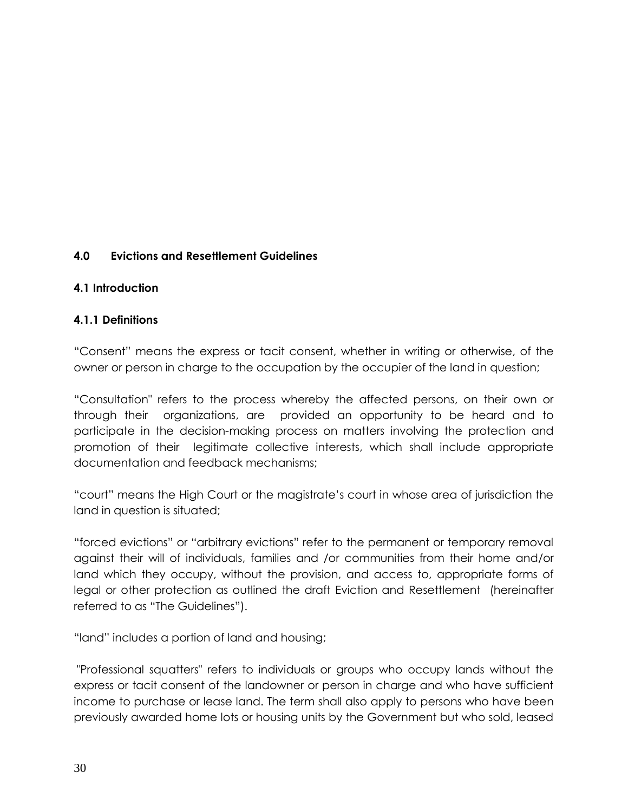## <span id="page-33-0"></span>**4.0 Evictions and Resettlement Guidelines**

#### **4.1 Introduction**

#### <span id="page-33-1"></span>**4.1.1 Definitions**

"Consent" means the express or tacit consent, whether in writing or otherwise, of the owner or person in charge to the occupation by the occupier of the land in question;

"Consultation" refers to the process whereby the affected persons, on their own or through their organizations, are provided an opportunity to be heard and to participate in the decision-making process on matters involving the protection and promotion of their legitimate collective interests, which shall include appropriate documentation and feedback mechanisms;

"court" means the High Court or the magistrate's court in whose area of jurisdiction the land in question is situated;

"forced evictions" or "arbitrary evictions" refer to the permanent or temporary removal against their will of individuals, families and /or communities from their home and/or land which they occupy, without the provision, and access to, appropriate forms of legal or other protection as outlined the draft Eviction and Resettlement (hereinafter referred to as "The Guidelines").

"land" includes a portion of land and housing;

"Professional squatters" refers to individuals or groups who occupy lands without the express or tacit consent of the landowner or person in charge and who have sufficient income to purchase or lease land. The term shall also apply to persons who have been previously awarded home lots or housing units by the Government but who sold, leased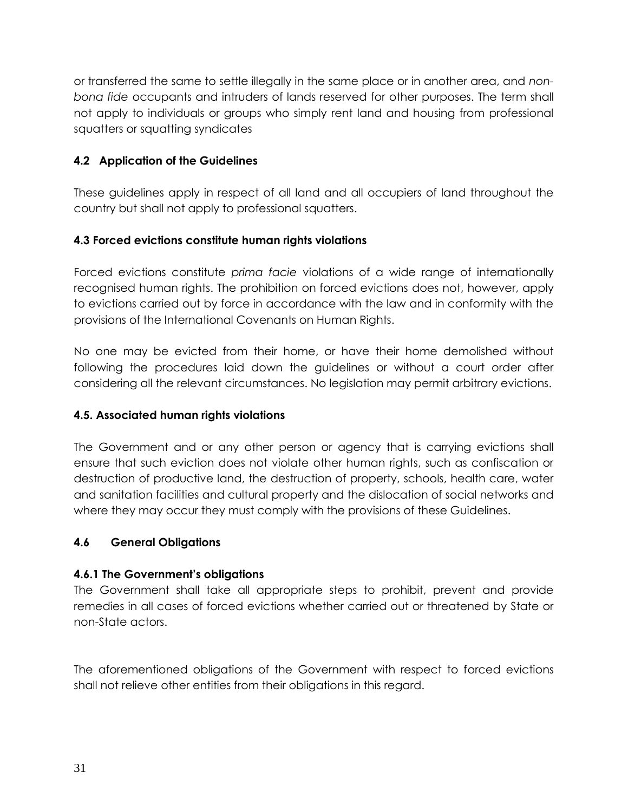or transferred the same to settle illegally in the same place or in another area, and *nonbona fide* occupants and intruders of lands reserved for other purposes. The term shall not apply to individuals or groups who simply rent land and housing from professional squatters or squatting syndicates

## <span id="page-34-0"></span>**4.2 Application of the Guidelines**

These guidelines apply in respect of all land and all occupiers of land throughout the country but shall not apply to professional squatters.

## <span id="page-34-1"></span>**4.3 Forced evictions constitute human rights violations**

Forced evictions constitute *prima facie* violations of a wide range of internationally recognised human rights. The prohibition on forced evictions does not, however, apply to evictions carried out by force in accordance with the law and in conformity with the provisions of the International Covenants on Human Rights.

No one may be evicted from their home, or have their home demolished without following the procedures laid down the guidelines or without a court order after considering all the relevant circumstances. No legislation may permit arbitrary evictions.

## <span id="page-34-2"></span>**4.5. Associated human rights violations**

The Government and or any other person or agency that is carrying evictions shall ensure that such eviction does not violate other human rights, such as confiscation or destruction of productive land, the destruction of property, schools, health care, water and sanitation facilities and cultural property and the dislocation of social networks and where they may occur they must comply with the provisions of these Guidelines.

## <span id="page-34-3"></span>**4.6 General Obligations**

## <span id="page-34-4"></span>**4.6.1 The Government's obligations**

The Government shall take all appropriate steps to prohibit, prevent and provide remedies in all cases of forced evictions whether carried out or threatened by State or non-State actors.

The aforementioned obligations of the Government with respect to forced evictions shall not relieve other entities from their obligations in this regard.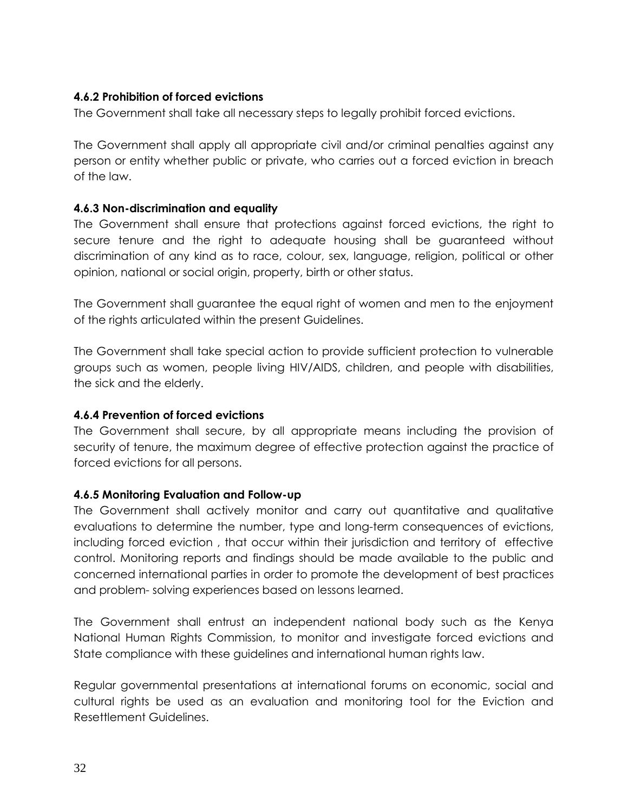### <span id="page-35-0"></span>**4.6.2 Prohibition of forced evictions**

The Government shall take all necessary steps to legally prohibit forced evictions.

The Government shall apply all appropriate civil and/or criminal penalties against any person or entity whether public or private, who carries out a forced eviction in breach of the law.

### <span id="page-35-1"></span>**4.6.3 Non-discrimination and equality**

The Government shall ensure that protections against forced evictions, the right to secure tenure and the right to adequate housing shall be guaranteed without discrimination of any kind as to race, colour, sex, language, religion, political or other opinion, national or social origin, property, birth or other status.

The Government shall guarantee the equal right of women and men to the enjoyment of the rights articulated within the present Guidelines.

The Government shall take special action to provide sufficient protection to vulnerable groups such as women, people living HIV/AIDS, children, and people with disabilities, the sick and the elderly.

### <span id="page-35-2"></span>**4.6.4 Prevention of forced evictions**

The Government shall secure, by all appropriate means including the provision of security of tenure, the maximum degree of effective protection against the practice of forced evictions for all persons.

### <span id="page-35-3"></span>**4.6.5 Monitoring Evaluation and Follow-up**

The Government shall actively monitor and carry out quantitative and qualitative evaluations to determine the number, type and long-term consequences of evictions, including forced eviction , that occur within their jurisdiction and territory of effective control. Monitoring reports and findings should be made available to the public and concerned international parties in order to promote the development of best practices and problem- solving experiences based on lessons learned.

The Government shall entrust an independent national body such as the Kenya National Human Rights Commission, to monitor and investigate forced evictions and State compliance with these guidelines and international human rights law.

Regular governmental presentations at international forums on economic, social and cultural rights be used as an evaluation and monitoring tool for the Eviction and Resettlement Guidelines.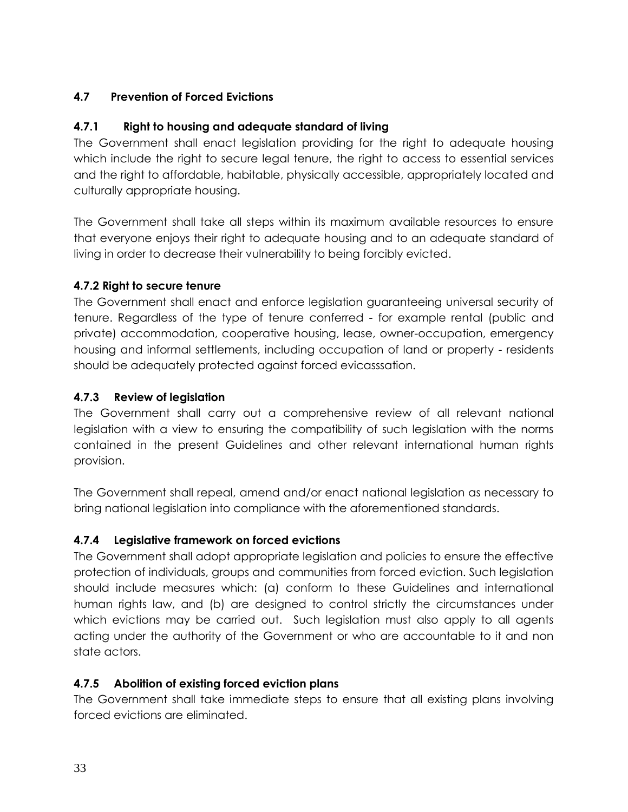## <span id="page-36-0"></span>**4.7 Prevention of Forced Evictions**

## <span id="page-36-1"></span>**4.7.1 Right to housing and adequate standard of living**

The Government shall enact legislation providing for the right to adequate housing which include the right to secure legal tenure, the right to access to essential services and the right to affordable, habitable, physically accessible, appropriately located and culturally appropriate housing.

The Government shall take all steps within its maximum available resources to ensure that everyone enjoys their right to adequate housing and to an adequate standard of living in order to decrease their vulnerability to being forcibly evicted.

## <span id="page-36-2"></span>**4.7.2 Right to secure tenure**

The Government shall enact and enforce legislation guaranteeing universal security of tenure. Regardless of the type of tenure conferred - for example rental (public and private) accommodation, cooperative housing, lease, owner-occupation, emergency housing and informal settlements, including occupation of land or property - residents should be adequately protected against forced evicasssation.

## <span id="page-36-3"></span>**4.7.3 Review of legislation**

The Government shall carry out a comprehensive review of all relevant national legislation with a view to ensuring the compatibility of such legislation with the norms contained in the present Guidelines and other relevant international human rights provision.

The Government shall repeal, amend and/or enact national legislation as necessary to bring national legislation into compliance with the aforementioned standards.

## <span id="page-36-4"></span>**4.7.4 Legislative framework on forced evictions**

The Government shall adopt appropriate legislation and policies to ensure the effective protection of individuals, groups and communities from forced eviction. Such legislation should include measures which: (a) conform to these Guidelines and international human rights law, and (b) are designed to control strictly the circumstances under which evictions may be carried out. Such legislation must also apply to all agents acting under the authority of the Government or who are accountable to it and non state actors.

## <span id="page-36-5"></span>**4.7.5 Abolition of existing forced eviction plans**

The Government shall take immediate steps to ensure that all existing plans involving forced evictions are eliminated.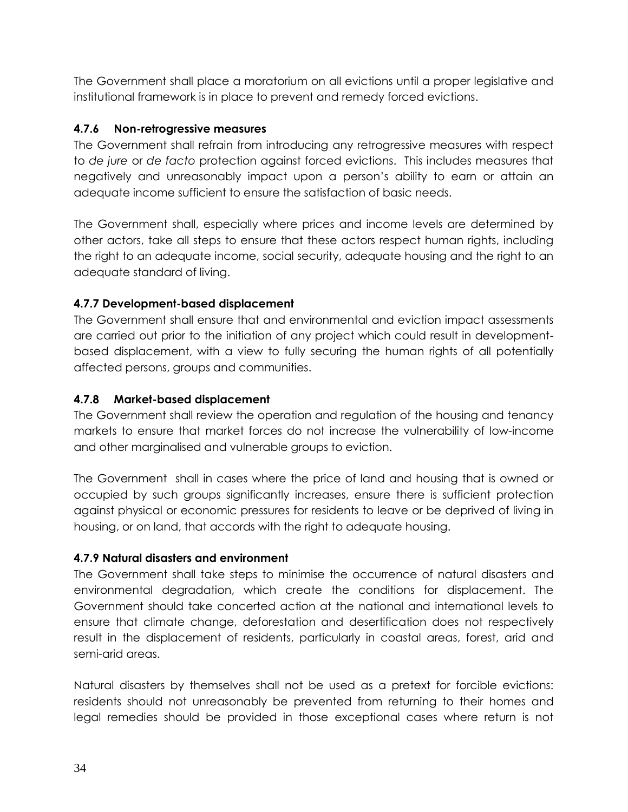The Government shall place a moratorium on all evictions until a proper legislative and institutional framework is in place to prevent and remedy forced evictions.

## <span id="page-37-0"></span>**4.7.6 Non-retrogressive measures**

The Government shall refrain from introducing any retrogressive measures with respect to *de jure* or *de facto* protection against forced evictions. This includes measures that negatively and unreasonably impact upon a person's ability to earn or attain an adequate income sufficient to ensure the satisfaction of basic needs.

The Government shall, especially where prices and income levels are determined by other actors, take all steps to ensure that these actors respect human rights, including the right to an adequate income, social security, adequate housing and the right to an adequate standard of living.

## <span id="page-37-1"></span>**4.7.7 Development-based displacement**

The Government shall ensure that and environmental and eviction impact assessments are carried out prior to the initiation of any project which could result in developmentbased displacement, with a view to fully securing the human rights of all potentially affected persons, groups and communities.

## <span id="page-37-2"></span>**4.7.8 Market-based displacement**

The Government shall review the operation and regulation of the housing and tenancy markets to ensure that market forces do not increase the vulnerability of low-income and other marginalised and vulnerable groups to eviction.

The Government shall in cases where the price of land and housing that is owned or occupied by such groups significantly increases, ensure there is sufficient protection against physical or economic pressures for residents to leave or be deprived of living in housing, or on land, that accords with the right to adequate housing.

## <span id="page-37-3"></span>**4.7.9 Natural disasters and environment**

The Government shall take steps to minimise the occurrence of natural disasters and environmental degradation, which create the conditions for displacement. The Government should take concerted action at the national and international levels to ensure that climate change, deforestation and desertification does not respectively result in the displacement of residents, particularly in coastal areas, forest, arid and semi-arid areas.

Natural disasters by themselves shall not be used as a pretext for forcible evictions: residents should not unreasonably be prevented from returning to their homes and legal remedies should be provided in those exceptional cases where return is not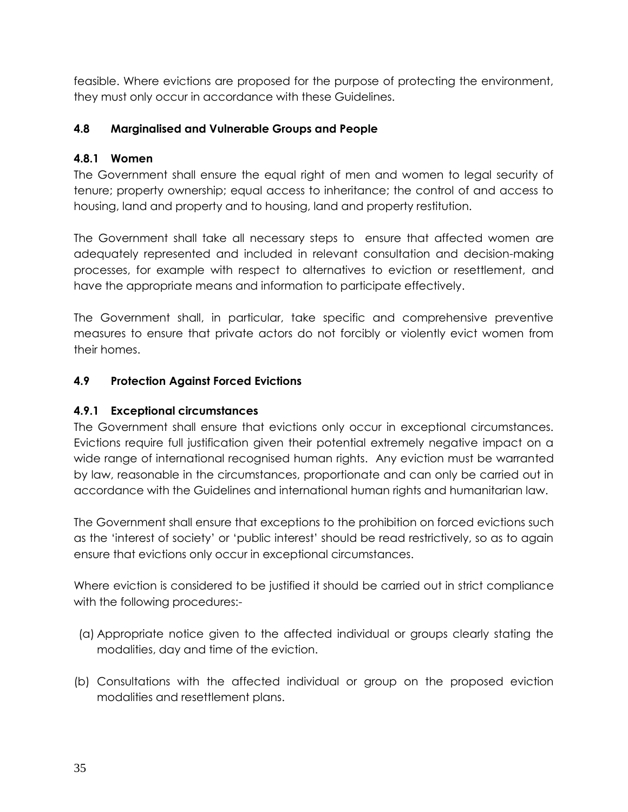feasible. Where evictions are proposed for the purpose of protecting the environment, they must only occur in accordance with these Guidelines.

## <span id="page-38-0"></span>**4.8 Marginalised and Vulnerable Groups and People**

### <span id="page-38-1"></span>**4.8.1 Women**

The Government shall ensure the equal right of men and women to legal security of tenure; property ownership; equal access to inheritance; the control of and access to housing, land and property and to housing, land and property restitution.

The Government shall take all necessary steps to ensure that affected women are adequately represented and included in relevant consultation and decision-making processes, for example with respect to alternatives to eviction or resettlement, and have the appropriate means and information to participate effectively.

The Government shall, in particular, take specific and comprehensive preventive measures to ensure that private actors do not forcibly or violently evict women from their homes.

## <span id="page-38-2"></span>**4.9 Protection Against Forced Evictions**

## <span id="page-38-3"></span>**4.9.1 Exceptional circumstances**

The Government shall ensure that evictions only occur in exceptional circumstances. Evictions require full justification given their potential extremely negative impact on a wide range of international recognised human rights. Any eviction must be warranted by law, reasonable in the circumstances, proportionate and can only be carried out in accordance with the Guidelines and international human rights and humanitarian law.

The Government shall ensure that exceptions to the prohibition on forced evictions such as the 'interest of society' or 'public interest' should be read restrictively, so as to again ensure that evictions only occur in exceptional circumstances.

Where eviction is considered to be justified it should be carried out in strict compliance with the following procedures:-

- (a) Appropriate notice given to the affected individual or groups clearly stating the modalities, day and time of the eviction.
- (b) Consultations with the affected individual or group on the proposed eviction modalities and resettlement plans.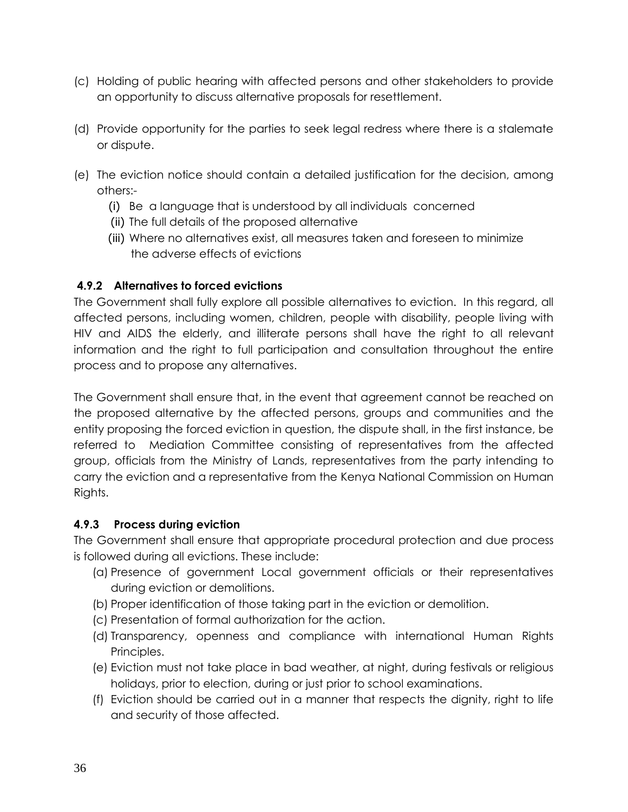- (c) Holding of public hearing with affected persons and other stakeholders to provide an opportunity to discuss alternative proposals for resettlement.
- (d) Provide opportunity for the parties to seek legal redress where there is a stalemate or dispute.
- (e) The eviction notice should contain a detailed justification for the decision, among others:-
	- (i) Be a language that is understood by all individuals concerned
	- (ii) The full details of the proposed alternative
	- (iii) Where no alternatives exist, all measures taken and foreseen to minimize the adverse effects of evictions

## <span id="page-39-0"></span>**4.9.2 Alternatives to forced evictions**

The Government shall fully explore all possible alternatives to eviction. In this regard, all affected persons, including women, children, people with disability, people living with HIV and AIDS the elderly, and illiterate persons shall have the right to all relevant information and the right to full participation and consultation throughout the entire process and to propose any alternatives.

The Government shall ensure that, in the event that agreement cannot be reached on the proposed alternative by the affected persons, groups and communities and the entity proposing the forced eviction in question, the dispute shall, in the first instance, be referred to Mediation Committee consisting of representatives from the affected group, officials from the Ministry of Lands, representatives from the party intending to carry the eviction and a representative from the Kenya National Commission on Human Rights.

## <span id="page-39-1"></span>**4.9.3 Process during eviction**

The Government shall ensure that appropriate procedural protection and due process is followed during all evictions. These include:

- (a) Presence of government Local government officials or their representatives during eviction or demolitions.
- (b) Proper identification of those taking part in the eviction or demolition.
- (c) Presentation of formal authorization for the action.
- (d) Transparency, openness and compliance with international Human Rights Principles.
- (e) Eviction must not take place in bad weather, at night, during festivals or religious holidays, prior to election, during or just prior to school examinations.
- (f) Eviction should be carried out in a manner that respects the dignity, right to life and security of those affected.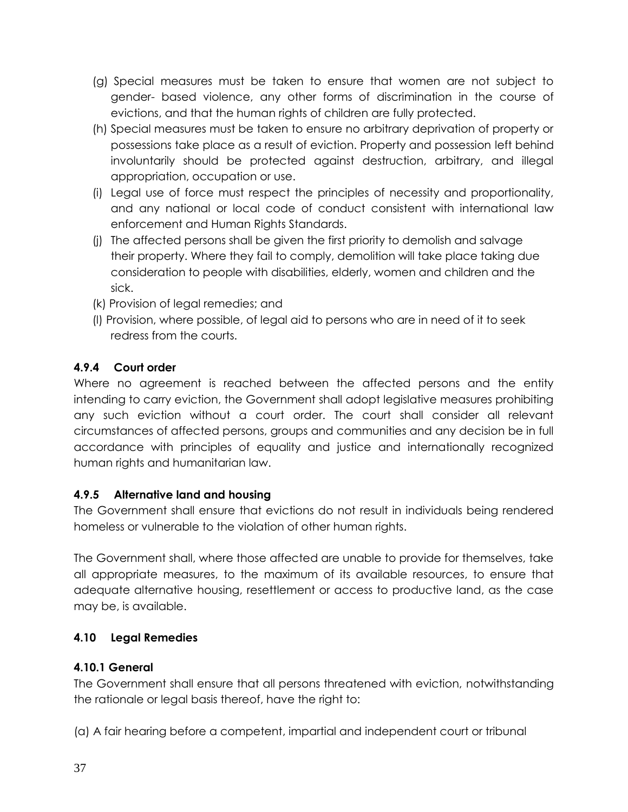- (g) Special measures must be taken to ensure that women are not subject to gender- based violence, any other forms of discrimination in the course of evictions, and that the human rights of children are fully protected.
- (h) Special measures must be taken to ensure no arbitrary deprivation of property or possessions take place as a result of eviction. Property and possession left behind involuntarily should be protected against destruction, arbitrary, and illegal appropriation, occupation or use.
- (i) Legal use of force must respect the principles of necessity and proportionality, and any national or local code of conduct consistent with international law enforcement and Human Rights Standards.
- (j) The affected persons shall be given the first priority to demolish and salvage their property. Where they fail to comply, demolition will take place taking due consideration to people with disabilities, elderly, women and children and the sick.
- (k) Provision of legal remedies; and
- (l) Provision, where possible, of legal aid to persons who are in need of it to seek redress from the courts.

# <span id="page-40-0"></span>**4.9.4 Court order**

Where no agreement is reached between the affected persons and the entity intending to carry eviction, the Government shall adopt legislative measures prohibiting any such eviction without a court order. The court shall consider all relevant circumstances of affected persons, groups and communities and any decision be in full accordance with principles of equality and justice and internationally recognized human rights and humanitarian law.

## <span id="page-40-1"></span>**4.9.5 Alternative land and housing**

The Government shall ensure that evictions do not result in individuals being rendered homeless or vulnerable to the violation of other human rights.

The Government shall, where those affected are unable to provide for themselves, take all appropriate measures, to the maximum of its available resources, to ensure that adequate alternative housing, resettlement or access to productive land, as the case may be, is available.

# <span id="page-40-2"></span>**4.10 Legal Remedies**

# <span id="page-40-3"></span>**4.10.1 General**

The Government shall ensure that all persons threatened with eviction, notwithstanding the rationale or legal basis thereof, have the right to:

(a) A fair hearing before a competent, impartial and independent court or tribunal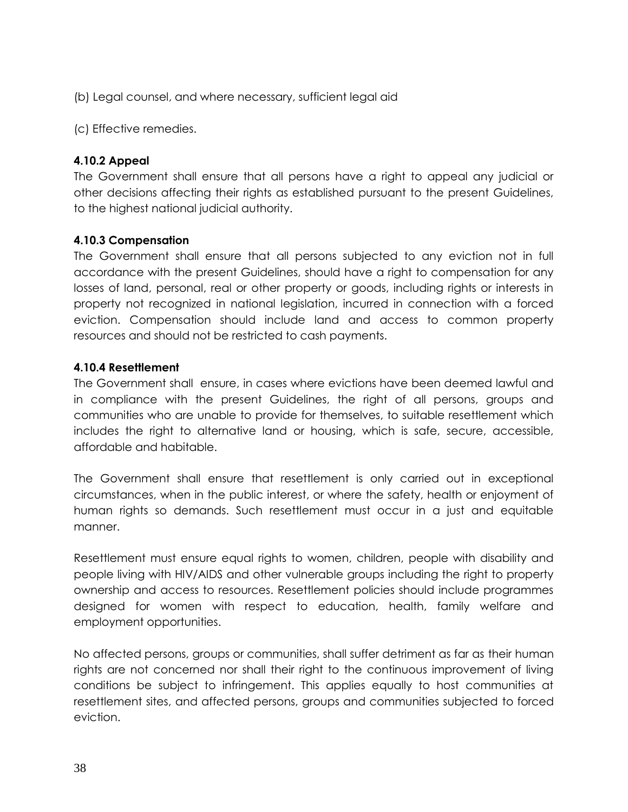(b) Legal counsel, and where necessary, sufficient legal aid

(c) Effective remedies.

## <span id="page-41-0"></span>**4.10.2 Appeal**

The Government shall ensure that all persons have a right to appeal any judicial or other decisions affecting their rights as established pursuant to the present Guidelines, to the highest national judicial authority.

### <span id="page-41-1"></span>**4.10.3 Compensation**

The Government shall ensure that all persons subjected to any eviction not in full accordance with the present Guidelines, should have a right to compensation for any losses of land, personal, real or other property or goods, including rights or interests in property not recognized in national legislation, incurred in connection with a forced eviction. Compensation should include land and access to common property resources and should not be restricted to cash payments.

### <span id="page-41-2"></span>**4.10.4 Resettlement**

The Government shall ensure, in cases where evictions have been deemed lawful and in compliance with the present Guidelines, the right of all persons, groups and communities who are unable to provide for themselves, to suitable resettlement which includes the right to alternative land or housing, which is safe, secure, accessible, affordable and habitable.

The Government shall ensure that resettlement is only carried out in exceptional circumstances, when in the public interest, or where the safety, health or enjoyment of human rights so demands. Such resettlement must occur in a just and equitable manner.

Resettlement must ensure equal rights to women, children, people with disability and people living with HIV/AIDS and other vulnerable groups including the right to property ownership and access to resources. Resettlement policies should include programmes designed for women with respect to education, health, family welfare and employment opportunities.

No affected persons, groups or communities, shall suffer detriment as far as their human rights are not concerned nor shall their right to the continuous improvement of living conditions be subject to infringement. This applies equally to host communities at resettlement sites, and affected persons, groups and communities subjected to forced eviction.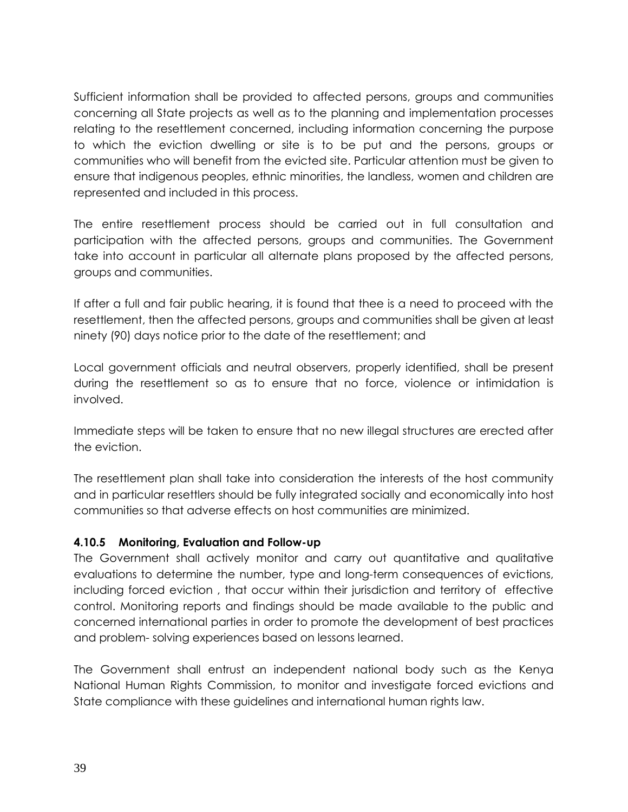Sufficient information shall be provided to affected persons, groups and communities concerning all State projects as well as to the planning and implementation processes relating to the resettlement concerned, including information concerning the purpose to which the eviction dwelling or site is to be put and the persons, groups or communities who will benefit from the evicted site. Particular attention must be given to ensure that indigenous peoples, ethnic minorities, the landless, women and children are represented and included in this process.

The entire resettlement process should be carried out in full consultation and participation with the affected persons, groups and communities. The Government take into account in particular all alternate plans proposed by the affected persons, groups and communities.

If after a full and fair public hearing, it is found that thee is a need to proceed with the resettlement, then the affected persons, groups and communities shall be given at least ninety (90) days notice prior to the date of the resettlement; and

Local government officials and neutral observers, properly identified, shall be present during the resettlement so as to ensure that no force, violence or intimidation is involved.

Immediate steps will be taken to ensure that no new illegal structures are erected after the eviction.

The resettlement plan shall take into consideration the interests of the host community and in particular resettlers should be fully integrated socially and economically into host communities so that adverse effects on host communities are minimized.

### <span id="page-42-0"></span>**4.10.5 Monitoring, Evaluation and Follow-up**

The Government shall actively monitor and carry out quantitative and qualitative evaluations to determine the number, type and long-term consequences of evictions, including forced eviction , that occur within their jurisdiction and territory of effective control. Monitoring reports and findings should be made available to the public and concerned international parties in order to promote the development of best practices and problem- solving experiences based on lessons learned.

The Government shall entrust an independent national body such as the Kenya National Human Rights Commission, to monitor and investigate forced evictions and State compliance with these guidelines and international human rights law.